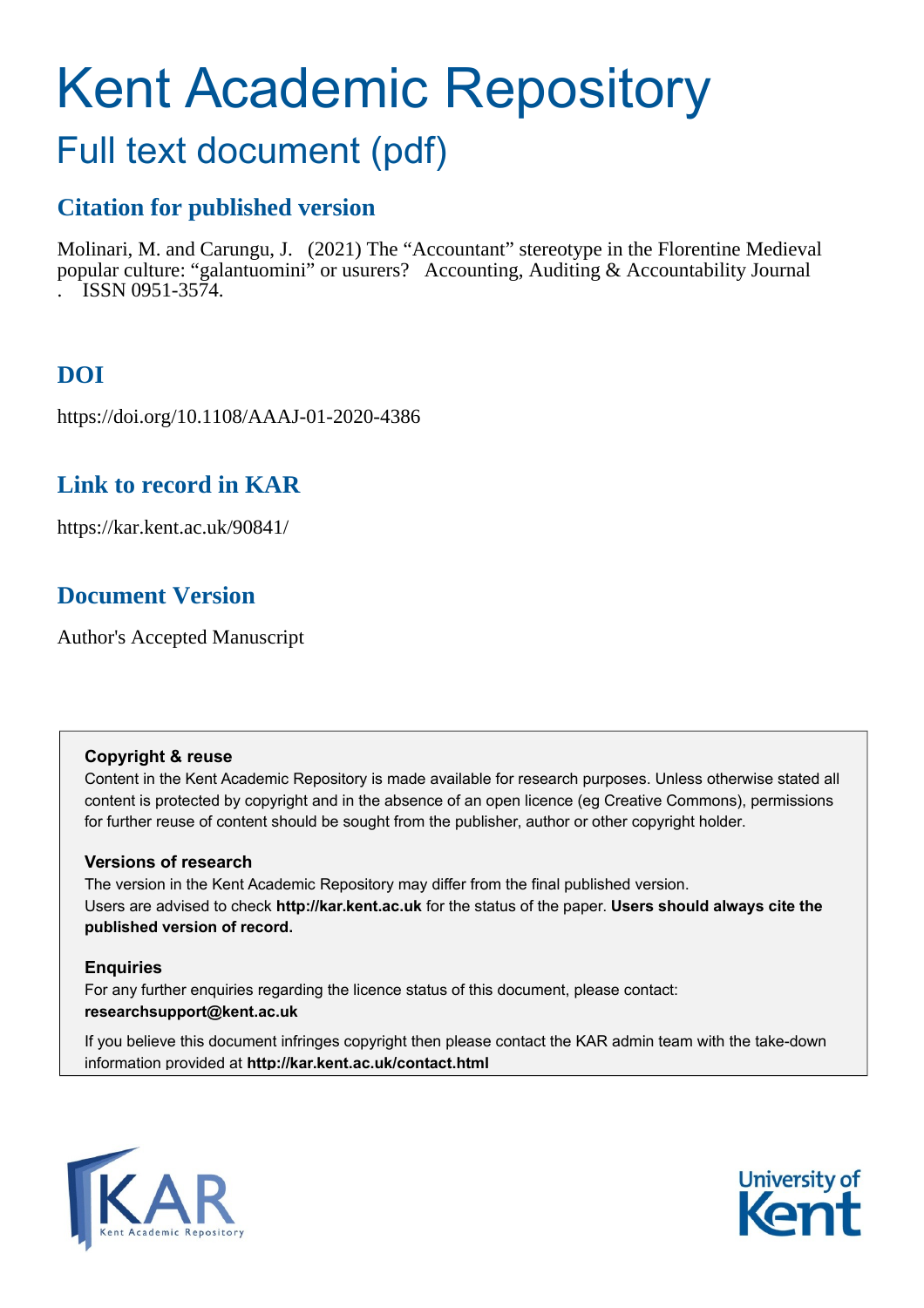# Kent Academic Repository

# Full text document (pdf)

### **Citation for published version**

Molinari, M. and Carungu, J. (2021) The "Accountant" stereotype in the Florentine Medieval popular culture: "galantuomini" or usurers? Accounting, Auditing & Accountability Journal . ISSN 0951-3574.

# **DOI**

https://doi.org/10.1108/AAAJ-01-2020-4386

### **Link to record in KAR**

https://kar.kent.ac.uk/90841/

## **Document Version**

Author's Accepted Manuscript

#### **Copyright & reuse**

Content in the Kent Academic Repository is made available for research purposes. Unless otherwise stated all content is protected by copyright and in the absence of an open licence (eg Creative Commons), permissions for further reuse of content should be sought from the publisher, author or other copyright holder.

#### **Versions of research**

The version in the Kent Academic Repository may differ from the final published version. Users are advised to check **http://kar.kent.ac.uk** for the status of the paper. **Users should always cite the published version of record.**

#### **Enquiries**

For any further enquiries regarding the licence status of this document, please contact: **researchsupport@kent.ac.uk**

If you believe this document infringes copyright then please contact the KAR admin team with the take-down information provided at **http://kar.kent.ac.uk/contact.html**



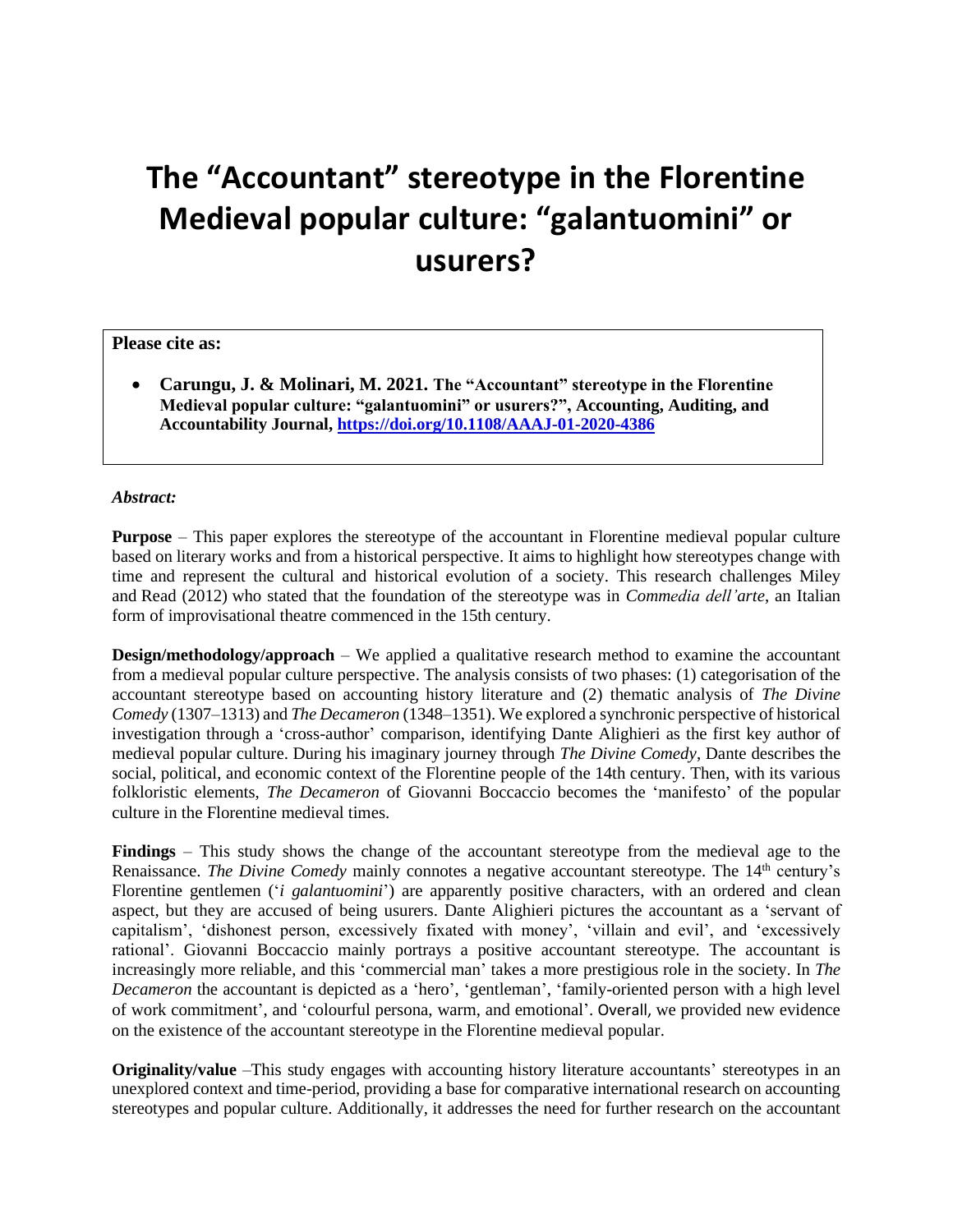# **The "Accountant" stereotype in the Florentine Medieval popular culture: "galantuomini" or usurers?**

#### **Please cite as:**

• **Carungu, J. & Molinari, M. 2021. The "Accountant" stereotype in the Florentine Medieval popular culture: "galantuomini" or usurers?", Accounting, Auditing, and Accountability Journal[, https://doi.org/10.1108/AAAJ-01-2020-4386](https://doi.org/10.1108/AAAJ-01-2020-4386)** 

#### *Abstract:* **forthcoming. https://doi.org/10.1108/MEDAR-03-2021-1252**

**Purpose** – This paper explores the stereotype of the accountant in Florentine medieval popular culture based on literary works and from a historical perspective. It aims to highlight how stereotypes change with time and represent the cultural and historical evolution of a society. This research challenges Miley and Read (2012) who stated that the foundation of the stereotype was in *Commedia dell'arte*, an Italian form of improvisational theatre commenced in the 15th century.

**Design/methodology/approach** – We applied a qualitative research method to examine the accountant from a medieval popular culture perspective. The analysis consists of two phases: (1) categorisation of the accountant stereotype based on accounting history literature and (2) thematic analysis of *The Divine Comedy* (1307–1313) and *The Decameron* (1348–1351). We explored a synchronic perspective of historical investigation through a 'cross-author' comparison, identifying Dante Alighieri as the first key author of medieval popular culture. During his imaginary journey through *The Divine Comedy*, Dante describes the social, political, and economic context of the Florentine people of the 14th century. Then, with its various folkloristic elements, *The Decameron* of Giovanni Boccaccio becomes the 'manifesto' of the popular culture in the Florentine medieval times.

**Findings** – This study shows the change of the accountant stereotype from the medieval age to the Renaissance. *The Divine Comedy* mainly connotes a negative accountant stereotype. The 14<sup>th</sup> century's Florentine gentlemen ('*i galantuomini*') are apparently positive characters, with an ordered and clean aspect, but they are accused of being usurers. Dante Alighieri pictures the accountant as a 'servant of capitalism', 'dishonest person, excessively fixated with money', 'villain and evil', and 'excessively rational'. Giovanni Boccaccio mainly portrays a positive accountant stereotype. The accountant is increasingly more reliable, and this 'commercial man' takes a more prestigious role in the society. In *The Decameron* the accountant is depicted as a 'hero', 'gentleman', 'family-oriented person with a high level of work commitment', and 'colourful persona, warm, and emotional'. Overall, we provided new evidence on the existence of the accountant stereotype in the Florentine medieval popular.

**Originality/value** –This study engages with accounting history literature accountants' stereotypes in an unexplored context and time-period, providing a base for comparative international research on accounting stereotypes and popular culture. Additionally, it addresses the need for further research on the accountant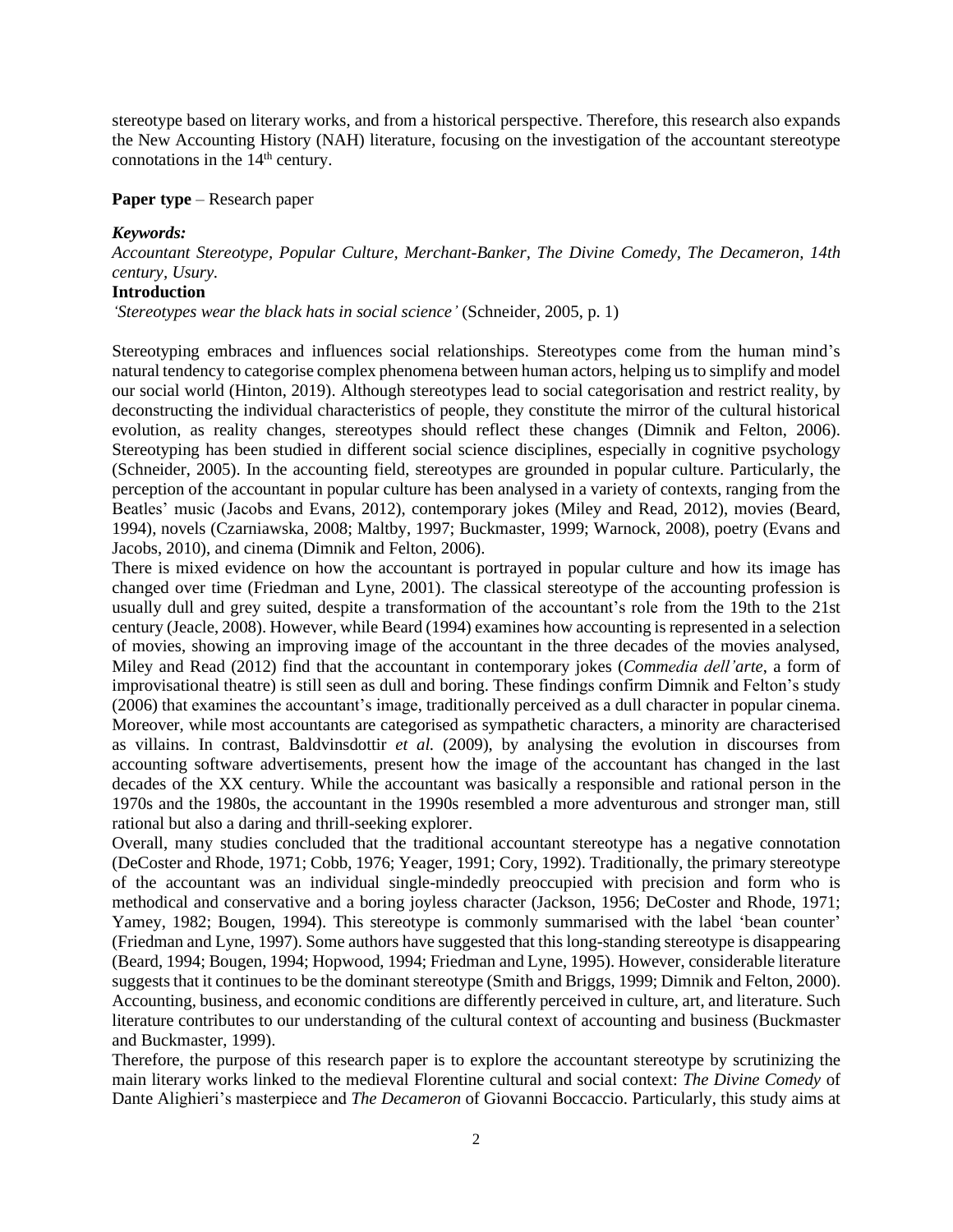stereotype based on literary works, and from a historical perspective. Therefore, this research also expands the New Accounting History (NAH) literature, focusing on the investigation of the accountant stereotype connotations in the  $14<sup>th</sup>$  century.

**Paper type** – Research paper

#### *Keywords:*

*Accountant Stereotype, Popular Culture, Merchant-Banker, The Divine Comedy, The Decameron, 14th century, Usury.*

#### **Introduction**

*'Stereotypes wear the black hats in social science'* (Schneider, 2005, p. 1)

Stereotyping embraces and influences social relationships. Stereotypes come from the human mind's natural tendency to categorise complex phenomena between human actors, helping usto simplify and model our social world (Hinton, 2019). Although stereotypes lead to social categorisation and restrict reality, by deconstructing the individual characteristics of people, they constitute the mirror of the cultural historical evolution, as reality changes, stereotypes should reflect these changes (Dimnik and Felton, 2006). Stereotyping has been studied in different social science disciplines, especially in cognitive psychology (Schneider, 2005). In the accounting field, stereotypes are grounded in popular culture. Particularly, the perception of the accountant in popular culture has been analysed in a variety of contexts, ranging from the Beatles' music (Jacobs and Evans, 2012), contemporary jokes (Miley and Read, 2012), movies (Beard, 1994), novels (Czarniawska, 2008; Maltby, 1997; Buckmaster, 1999; Warnock, 2008), poetry (Evans and Jacobs, 2010), and cinema (Dimnik and Felton, 2006).

There is mixed evidence on how the accountant is portrayed in popular culture and how its image has changed over time (Friedman and Lyne, 2001). The classical stereotype of the accounting profession is usually dull and grey suited, despite a transformation of the accountant's role from the 19th to the 21st century (Jeacle, 2008). However, while Beard (1994) examines how accounting is represented in a selection of movies, showing an improving image of the accountant in the three decades of the movies analysed, Miley and Read (2012) find that the accountant in contemporary jokes (*Commedia dell'arte*, a form of improvisational theatre) is still seen as dull and boring. These findings confirm Dimnik and Felton's study (2006) that examines the accountant's image, traditionally perceived as a dull character in popular cinema. Moreover, while most accountants are categorised as sympathetic characters, a minority are characterised as villains. In contrast, Baldvinsdottir *et al.* (2009), by analysing the evolution in discourses from accounting software advertisements, present how the image of the accountant has changed in the last decades of the XX century. While the accountant was basically a responsible and rational person in the 1970s and the 1980s, the accountant in the 1990s resembled a more adventurous and stronger man, still rational but also a daring and thrill-seeking explorer.

Overall, many studies concluded that the traditional accountant stereotype has a negative connotation (DeCoster and Rhode, 1971; Cobb, 1976; Yeager, 1991; Cory, 1992). Traditionally, the primary stereotype of the accountant was an individual single-mindedly preoccupied with precision and form who is methodical and conservative and a boring joyless character (Jackson, 1956; DeCoster and Rhode, 1971; Yamey, 1982; Bougen, 1994). This stereotype is commonly summarised with the label 'bean counter' (Friedman and Lyne, 1997). Some authors have suggested that this long-standing stereotype is disappearing (Beard, 1994; Bougen, 1994; Hopwood, 1994; Friedman and Lyne, 1995). However, considerable literature suggests that it continues to be the dominant stereotype (Smith and Briggs, 1999; Dimnik and Felton, 2000). Accounting, business, and economic conditions are differently perceived in culture, art, and literature. Such literature contributes to our understanding of the cultural context of accounting and business (Buckmaster and Buckmaster, 1999).

Therefore, the purpose of this research paper is to explore the accountant stereotype by scrutinizing the main literary works linked to the medieval Florentine cultural and social context: *The Divine Comedy* of Dante Alighieri's masterpiece and *The Decameron* of Giovanni Boccaccio. Particularly, this study aims at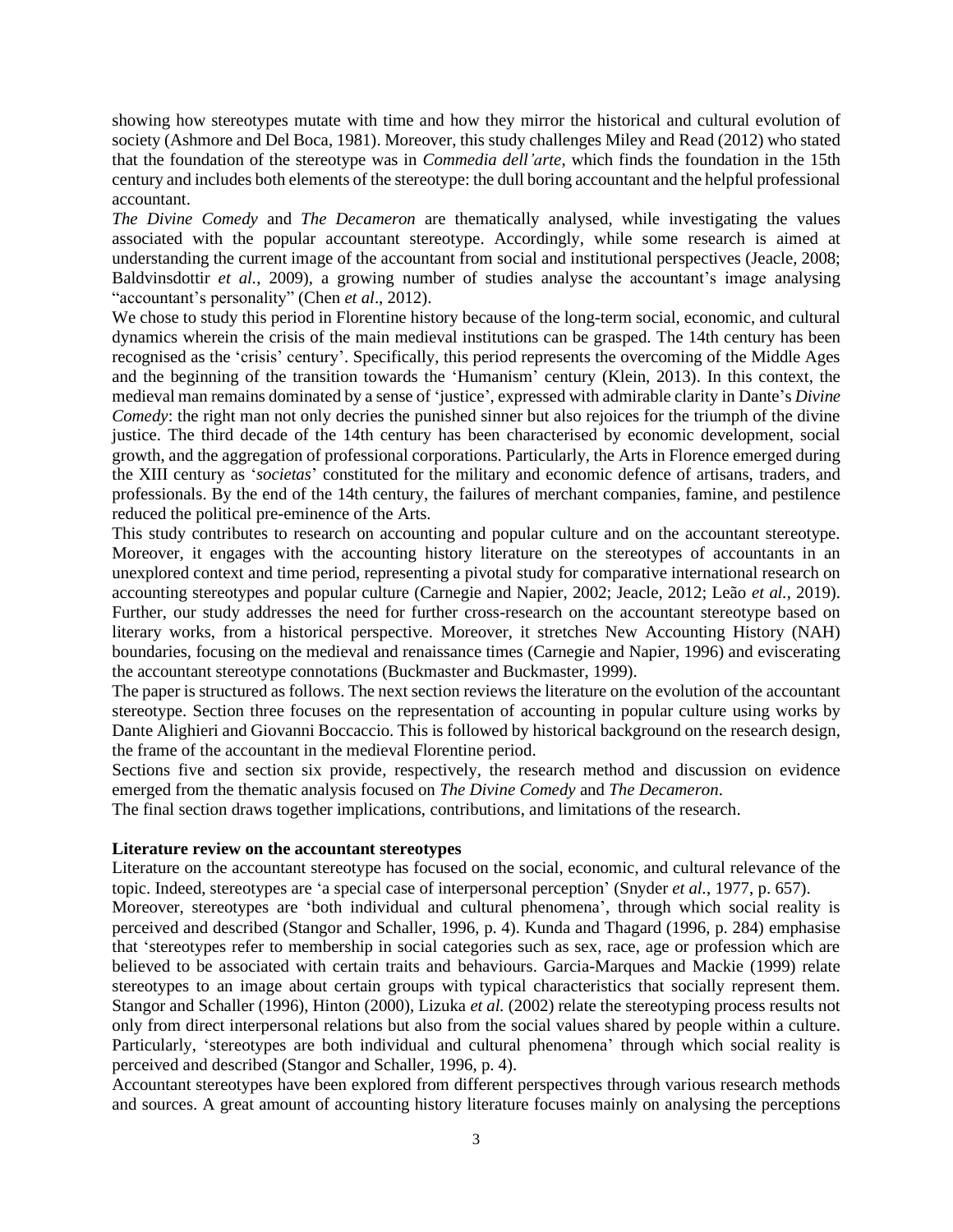showing how stereotypes mutate with time and how they mirror the historical and cultural evolution of society (Ashmore and Del Boca, 1981). Moreover, this study challenges Miley and Read (2012) who stated that the foundation of the stereotype was in *Commedia dell'arte*, which finds the foundation in the 15th century and includes both elements of the stereotype: the dull boring accountant and the helpful professional accountant.

*The Divine Comedy* and *The Decameron* are thematically analysed, while investigating the values associated with the popular accountant stereotype. Accordingly, while some research is aimed at understanding the current image of the accountant from social and institutional perspectives (Jeacle, 2008; Baldvinsdottir *et al.*, 2009), a growing number of studies analyse the accountant's image analysing "accountant's personality" (Chen *et al*., 2012).

We chose to study this period in Florentine history because of the long-term social, economic, and cultural dynamics wherein the crisis of the main medieval institutions can be grasped. The 14th century has been recognised as the 'crisis' century'. Specifically, this period represents the overcoming of the Middle Ages and the beginning of the transition towards the 'Humanism' century (Klein, 2013). In this context, the medieval man remains dominated by a sense of 'justice', expressed with admirable clarity in Dante's *Divine Comedy*: the right man not only decries the punished sinner but also rejoices for the triumph of the divine justice. The third decade of the 14th century has been characterised by economic development, social growth, and the aggregation of professional corporations. Particularly, the Arts in Florence emerged during the XIII century as '*societas*' constituted for the military and economic defence of artisans, traders, and professionals. By the end of the 14th century, the failures of merchant companies, famine, and pestilence reduced the political pre-eminence of the Arts.

This study contributes to research on accounting and popular culture and on the accountant stereotype. Moreover, it engages with the accounting history literature on the stereotypes of accountants in an unexplored context and time period, representing a pivotal study for comparative international research on accounting stereotypes and popular culture (Carnegie and Napier, 2002; Jeacle, 2012; Leão *et al.*, 2019). Further, our study addresses the need for further cross-research on the accountant stereotype based on literary works, from a historical perspective. Moreover, it stretches New Accounting History (NAH) boundaries, focusing on the medieval and renaissance times (Carnegie and Napier, 1996) and eviscerating the accountant stereotype connotations (Buckmaster and Buckmaster, 1999).

The paper is structured as follows. The next section reviews the literature on the evolution of the accountant stereotype. Section three focuses on the representation of accounting in popular culture using works by Dante Alighieri and Giovanni Boccaccio. This is followed by historical background on the research design, the frame of the accountant in the medieval Florentine period.

Sections five and section six provide, respectively, the research method and discussion on evidence emerged from the thematic analysis focused on *The Divine Comedy* and *The Decameron*.

The final section draws together implications, contributions, and limitations of the research.

#### **Literature review on the accountant stereotypes**

Literature on the accountant stereotype has focused on the social, economic, and cultural relevance of the topic. Indeed, stereotypes are 'a special case of interpersonal perception' (Snyder *et al.*, 1977, p. 657).

Moreover, stereotypes are 'both individual and cultural phenomena', through which social reality is perceived and described (Stangor and Schaller, 1996, p. 4). Kunda and Thagard (1996, p. 284) emphasise that 'stereotypes refer to membership in social categories such as sex, race, age or profession which are believed to be associated with certain traits and behaviours. Garcia-Marques and Mackie (1999) relate stereotypes to an image about certain groups with typical characteristics that socially represent them. Stangor and Schaller (1996), Hinton (2000), Lizuka *et al.* (2002) relate the stereotyping process results not only from direct interpersonal relations but also from the social values shared by people within a culture. Particularly, 'stereotypes are both individual and cultural phenomena' through which social reality is perceived and described (Stangor and Schaller, 1996, p. 4).

Accountant stereotypes have been explored from different perspectives through various research methods and sources. A great amount of accounting history literature focuses mainly on analysing the perceptions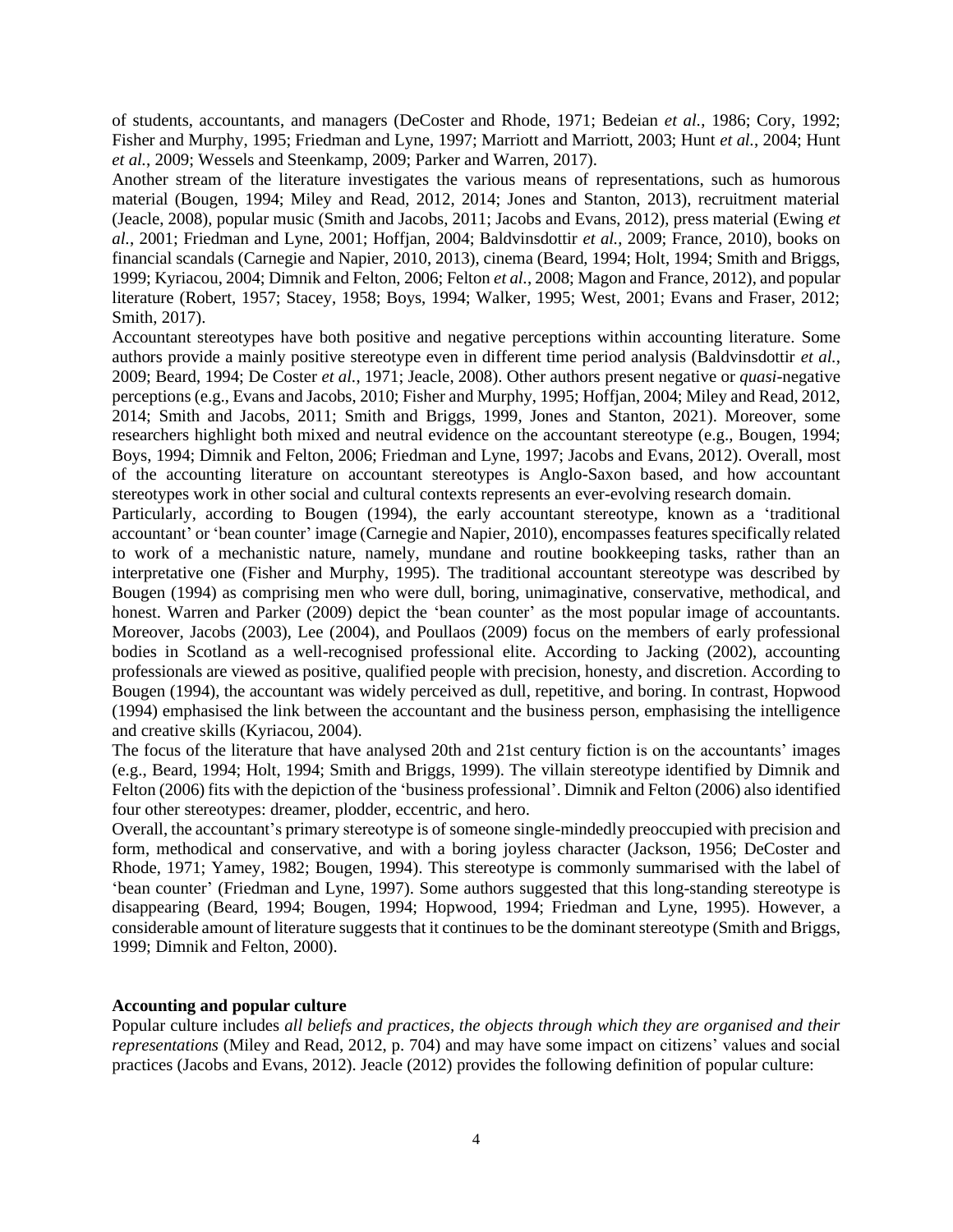of students, accountants, and managers (DeCoster and Rhode, 1971; Bedeian *et al.*, 1986; Cory, 1992; Fisher and Murphy, 1995; Friedman and Lyne, 1997; Marriott and Marriott, 2003; Hunt *et al.*, 2004; Hunt *et al.*, 2009; Wessels and Steenkamp, 2009; Parker and Warren, 2017).

Another stream of the literature investigates the various means of representations, such as humorous material (Bougen, 1994; Miley and Read, 2012, 2014; Jones and Stanton, 2013), recruitment material (Jeacle, 2008), popular music (Smith and Jacobs, 2011; Jacobs and Evans, 2012), press material (Ewing *et al.*, 2001; Friedman and Lyne, 2001; Hoffjan, 2004; Baldvinsdottir *et al.*, 2009; France, 2010), books on financial scandals (Carnegie and Napier, 2010, 2013), cinema (Beard, 1994; Holt, 1994; Smith and Briggs, 1999; Kyriacou, 2004; Dimnik and Felton, 2006; Felton *et al.*, 2008; Magon and France, 2012), and popular literature (Robert, 1957; Stacey, 1958; Boys, 1994; Walker, 1995; West, 2001; Evans and Fraser, 2012; Smith, 2017).

Accountant stereotypes have both positive and negative perceptions within accounting literature. Some authors provide a mainly positive stereotype even in different time period analysis (Baldvinsdottir *et al.*, 2009; Beard, 1994; De Coster *et al.*, 1971; Jeacle, 2008). Other authors present negative or *quasi*-negative perceptions (e.g., Evans and Jacobs, 2010; Fisher and Murphy, 1995; Hoffjan, 2004; Miley and Read, 2012, 2014; Smith and Jacobs, 2011; Smith and Briggs, 1999, Jones and Stanton, 2021). Moreover, some researchers highlight both mixed and neutral evidence on the accountant stereotype (e.g., Bougen, 1994; Boys, 1994; Dimnik and Felton, 2006; Friedman and Lyne, 1997; Jacobs and Evans, 2012). Overall, most of the accounting literature on accountant stereotypes is Anglo-Saxon based, and how accountant stereotypes work in other social and cultural contexts represents an ever-evolving research domain.

Particularly, according to Bougen (1994), the early accountant stereotype, known as a 'traditional accountant' or 'bean counter' image (Carnegie and Napier, 2010), encompasses features specifically related to work of a mechanistic nature, namely, mundane and routine bookkeeping tasks, rather than an interpretative one (Fisher and Murphy, 1995). The traditional accountant stereotype was described by Bougen (1994) as comprising men who were dull, boring, unimaginative, conservative, methodical, and honest. Warren and Parker (2009) depict the 'bean counter' as the most popular image of accountants. Moreover, Jacobs (2003), Lee (2004), and Poullaos (2009) focus on the members of early professional bodies in Scotland as a well-recognised professional elite. According to Jacking (2002), accounting professionals are viewed as positive, qualified people with precision, honesty, and discretion. According to Bougen (1994), the accountant was widely perceived as dull, repetitive, and boring. In contrast, Hopwood (1994) emphasised the link between the accountant and the business person, emphasising the intelligence and creative skills (Kyriacou, 2004).

The focus of the literature that have analysed 20th and 21st century fiction is on the accountants' images (e.g., Beard, 1994; Holt, 1994; Smith and Briggs, 1999). The villain stereotype identified by Dimnik and Felton (2006) fits with the depiction of the 'business professional'. Dimnik and Felton (2006) also identified four other stereotypes: dreamer, plodder, eccentric, and hero.

Overall, the accountant's primary stereotype is of someone single-mindedly preoccupied with precision and form, methodical and conservative, and with a boring joyless character (Jackson, 1956; DeCoster and Rhode, 1971; Yamey, 1982; Bougen, 1994). This stereotype is commonly summarised with the label of 'bean counter' (Friedman and Lyne, 1997). Some authors suggested that this long-standing stereotype is disappearing (Beard, 1994; Bougen, 1994; Hopwood, 1994; Friedman and Lyne, 1995). However, a considerable amount of literature suggests that it continues to be the dominant stereotype (Smith and Briggs, 1999; Dimnik and Felton, 2000).

#### **Accounting and popular culture**

Popular culture includes *all beliefs and practices, the objects through which they are organised and their representations* (Miley and Read, 2012, p. 704) and may have some impact on citizens' values and social practices (Jacobs and Evans, 2012). Jeacle (2012) provides the following definition of popular culture: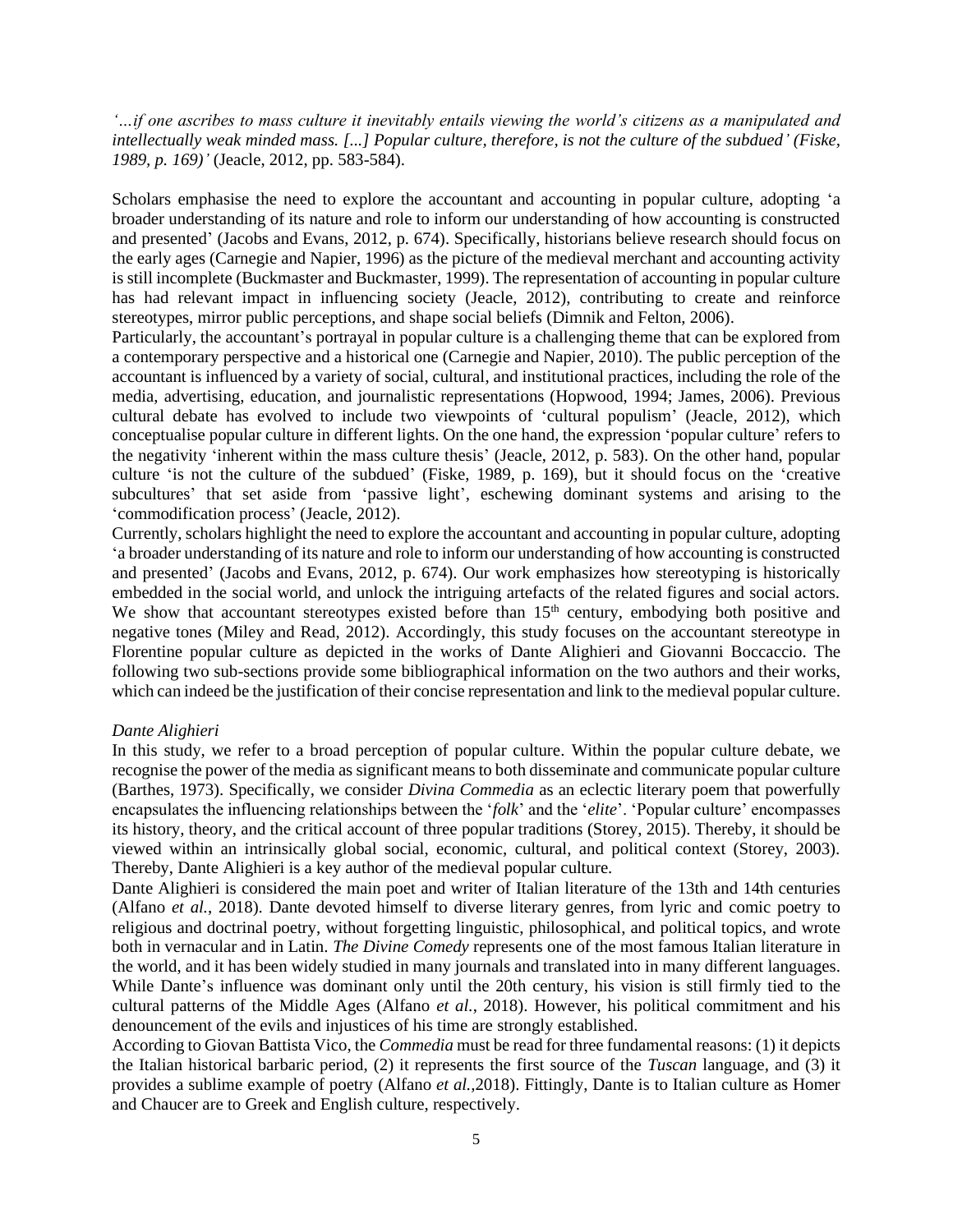*'…if one ascribes to mass culture it inevitably entails viewing the world's citizens as a manipulated and intellectually weak minded mass. [...] Popular culture, therefore, is not the culture of the subdued' (Fiske, 1989, p. 169)'* (Jeacle, 2012, pp. 583-584).

Scholars emphasise the need to explore the accountant and accounting in popular culture, adopting 'a broader understanding of its nature and role to inform our understanding of how accounting is constructed and presented' (Jacobs and Evans, 2012, p. 674). Specifically, historians believe research should focus on the early ages (Carnegie and Napier, 1996) as the picture of the medieval merchant and accounting activity is still incomplete (Buckmaster and Buckmaster, 1999). The representation of accounting in popular culture has had relevant impact in influencing society (Jeacle, 2012), contributing to create and reinforce stereotypes, mirror public perceptions, and shape social beliefs (Dimnik and Felton, 2006).

Particularly, the accountant's portrayal in popular culture is a challenging theme that can be explored from a contemporary perspective and a historical one (Carnegie and Napier, 2010). The public perception of the accountant is influenced by a variety of social, cultural, and institutional practices, including the role of the media, advertising, education, and journalistic representations (Hopwood, 1994; James, 2006). Previous cultural debate has evolved to include two viewpoints of 'cultural populism' (Jeacle, 2012), which conceptualise popular culture in different lights. On the one hand, the expression 'popular culture' refers to the negativity 'inherent within the mass culture thesis' (Jeacle, 2012, p. 583). On the other hand, popular culture 'is not the culture of the subdued' (Fiske, 1989, p. 169), but it should focus on the 'creative subcultures' that set aside from 'passive light', eschewing dominant systems and arising to the 'commodification process' (Jeacle, 2012).

Currently, scholars highlight the need to explore the accountant and accounting in popular culture, adopting 'a broader understanding of its nature and role to inform our understanding of how accounting is constructed and presented' (Jacobs and Evans, 2012, p. 674). Our work emphasizes how stereotyping is historically embedded in the social world, and unlock the intriguing artefacts of the related figures and social actors. We show that accountant stereotypes existed before than  $15<sup>th</sup>$  century, embodying both positive and negative tones (Miley and Read, 2012). Accordingly, this study focuses on the accountant stereotype in Florentine popular culture as depicted in the works of Dante Alighieri and Giovanni Boccaccio. The following two sub-sections provide some bibliographical information on the two authors and their works, which can indeed be the justification of their concise representation and link to the medieval popular culture.

#### *Dante Alighieri*

In this study, we refer to a broad perception of popular culture. Within the popular culture debate, we recognise the power of the media as significant means to both disseminate and communicate popular culture (Barthes, 1973). Specifically, we consider *Divina Commedia* as an eclectic literary poem that powerfully encapsulates the influencing relationships between the '*folk*' and the '*elite*'. 'Popular culture' encompasses its history, theory, and the critical account of three popular traditions (Storey, 2015). Thereby, it should be viewed within an intrinsically global social, economic, cultural, and political context (Storey, 2003). Thereby, Dante Alighieri is a key author of the medieval popular culture.

Dante Alighieri is considered the main poet and writer of Italian literature of the 13th and 14th centuries (Alfano *et al.*, 2018). Dante devoted himself to diverse literary genres, from lyric and comic poetry to religious and doctrinal poetry, without forgetting linguistic, philosophical, and political topics, and wrote both in vernacular and in Latin. *The Divine Comedy* represents one of the most famous Italian literature in the world, and it has been widely studied in many journals and translated into in many different languages. While Dante's influence was dominant only until the 20th century, his vision is still firmly tied to the cultural patterns of the Middle Ages (Alfano *et al.*, 2018). However, his political commitment and his denouncement of the evils and injustices of his time are strongly established.

According to Giovan Battista Vico, the *Commedia* must be read for three fundamental reasons: (1) it depicts the Italian historical barbaric period, (2) it represents the first source of the *Tuscan* language, and (3) it provides a sublime example of poetry (Alfano *et al.,*2018). Fittingly, Dante is to Italian culture as Homer and Chaucer are to Greek and English culture, respectively.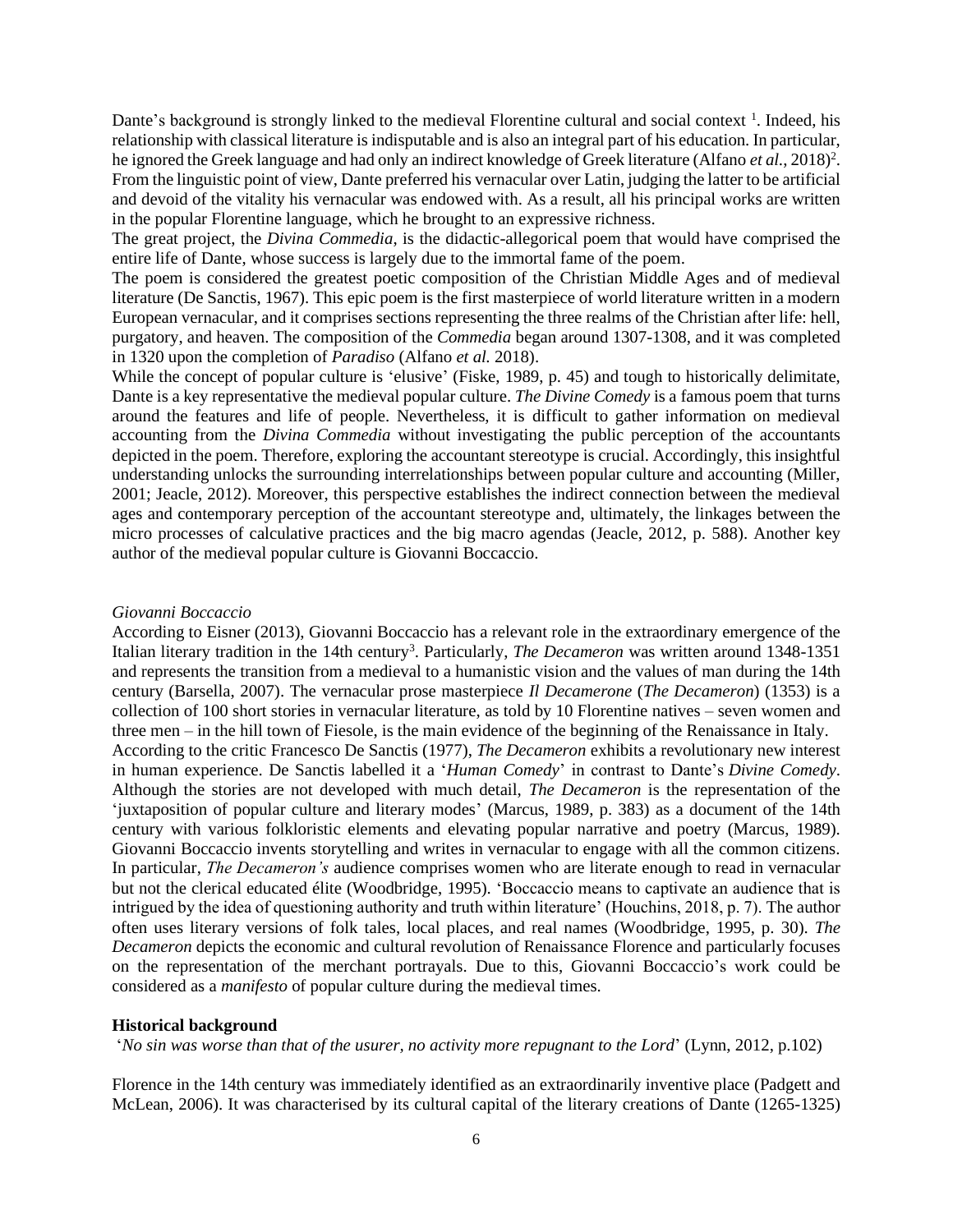Dante's background is strongly linked to the medieval Florentine cultural and social context<sup>1</sup>. Indeed, his relationship with classical literature is indisputable and is also an integral part of his education. In particular, he ignored the Greek language and had only an indirect knowledge of Greek literature (Alfano *et al.*, 2018)<sup>2</sup>. From the linguistic point of view, Dante preferred his vernacular over Latin, judging the latter to be artificial and devoid of the vitality his vernacular was endowed with. As a result, all his principal works are written in the popular Florentine language, which he brought to an expressive richness.

The great project, the *Divina Commedia*, is the didactic-allegorical poem that would have comprised the entire life of Dante, whose success is largely due to the immortal fame of the poem.

The poem is considered the greatest poetic composition of the Christian Middle Ages and of medieval literature (De Sanctis, 1967). This epic poem is the first masterpiece of world literature written in a modern European vernacular, and it comprises sections representing the three realms of the Christian after life: hell, purgatory, and heaven. The composition of the *Commedia* began around 1307-1308, and it was completed in 1320 upon the completion of *Paradiso* (Alfano *et al.* 2018).

While the concept of popular culture is 'elusive' (Fiske, 1989, p. 45) and tough to historically delimitate, Dante is a key representative the medieval popular culture. *The Divine Comedy* is a famous poem that turns around the features and life of people. Nevertheless, it is difficult to gather information on medieval accounting from the *Divina Commedia* without investigating the public perception of the accountants depicted in the poem. Therefore, exploring the accountant stereotype is crucial. Accordingly, this insightful understanding unlocks the surrounding interrelationships between popular culture and accounting (Miller, 2001; Jeacle, 2012). Moreover, this perspective establishes the indirect connection between the medieval ages and contemporary perception of the accountant stereotype and, ultimately, the linkages between the micro processes of calculative practices and the big macro agendas (Jeacle, 2012, p. 588). Another key author of the medieval popular culture is Giovanni Boccaccio.

#### *Giovanni Boccaccio*

According to Eisner (2013), Giovanni Boccaccio has a relevant role in the extraordinary emergence of the Italian literary tradition in the 14th century<sup>3</sup>. Particularly, *The Decameron* was written around 1348-1351 and represents the transition from a medieval to a humanistic vision and the values of man during the 14th century (Barsella, 2007). The vernacular prose masterpiece *Il Decamerone* (*The Decameron*) (1353) is a collection of 100 short stories in vernacular literature, as told by 10 Florentine natives – seven women and three men – in the hill town of Fiesole, is the main evidence of the beginning of the Renaissance in Italy. According to the critic Francesco De Sanctis (1977), *The Decameron* exhibits a revolutionary new interest in human experience. De Sanctis labelled it a '*Human Comedy*' in contrast to Dante's *Divine Comedy*. Although the stories are not developed with much detail, *The Decameron* is the representation of the 'juxtaposition of popular culture and literary modes' (Marcus, 1989, p. 383) as a document of the 14th century with various folkloristic elements and elevating popular narrative and poetry (Marcus, 1989). Giovanni Boccaccio invents storytelling and writes in vernacular to engage with all the common citizens. In particular, *The Decameron's* audience comprises women who are literate enough to read in vernacular but not the clerical educated élite (Woodbridge, 1995). 'Boccaccio means to captivate an audience that is intrigued by the idea of questioning authority and truth within literature' (Houchins, 2018, p. 7). The author often uses literary versions of folk tales, local places, and real names (Woodbridge, 1995, p. 30). *The Decameron* depicts the economic and cultural revolution of Renaissance Florence and particularly focuses on the representation of the merchant portrayals. Due to this, Giovanni Boccaccio's work could be considered as a *manifesto* of popular culture during the medieval times.

#### **Historical background**

'*No sin was worse than that of the usurer, no activity more repugnant to the Lord*' (Lynn, 2012, p.102)

Florence in the 14th century was immediately identified as an extraordinarily inventive place (Padgett and McLean, 2006). It was characterised by its cultural capital of the literary creations of Dante (1265-1325)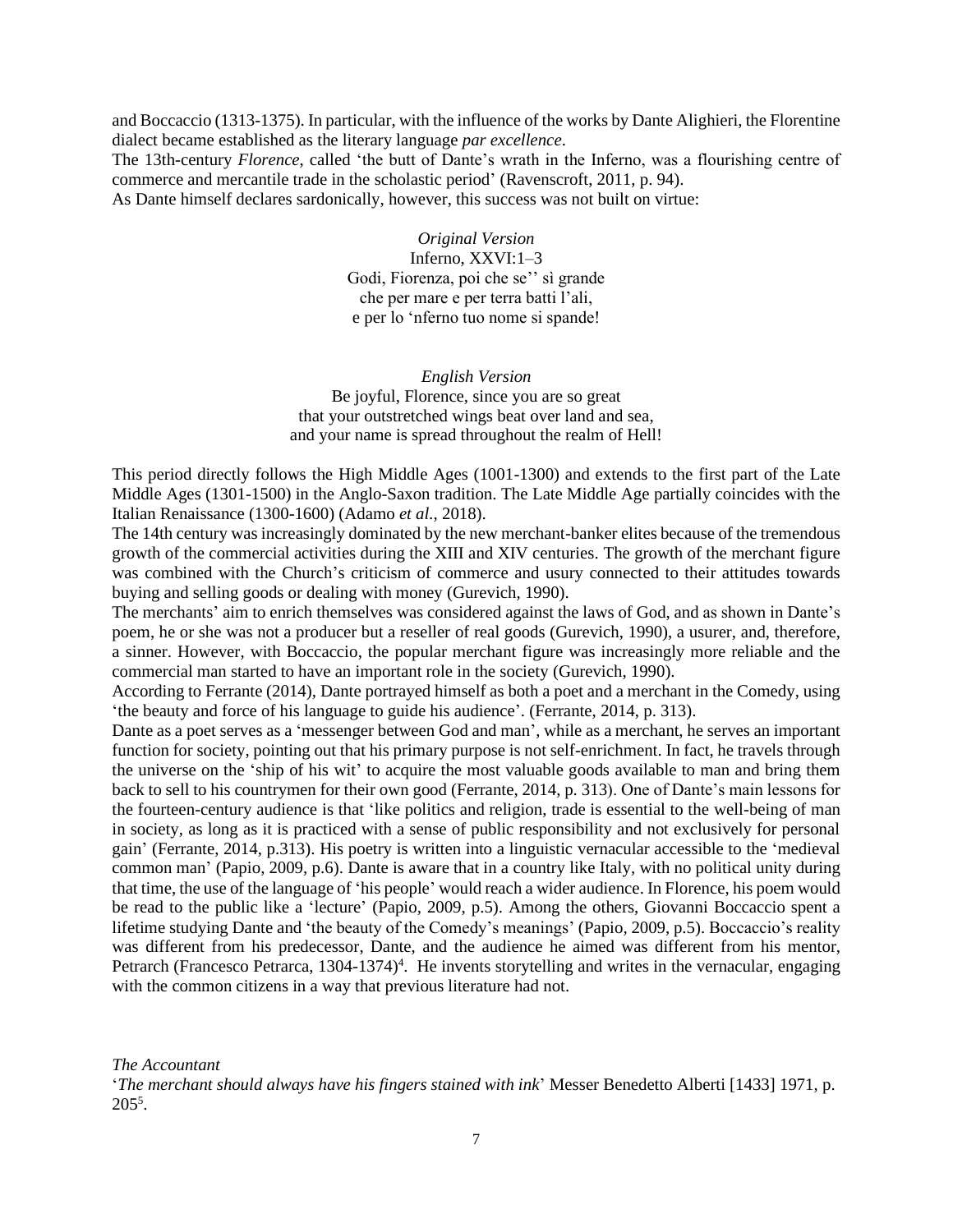and Boccaccio (1313-1375). In particular, with the influence of the works by Dante Alighieri, the Florentine dialect became established as the literary language *par excellence*.

The 13th-century *Florence*, called 'the butt of Dante's wrath in the Inferno, was a flourishing centre of commerce and mercantile trade in the scholastic period' (Ravenscroft, 2011, p. 94).

As Dante himself declares sardonically, however, this success was not built on virtue:

*Original Version* Inferno, XXVI:1–3 Godi, Fiorenza, poi che se'' sì grande che per mare e per terra batti l'ali, e per lo 'nferno tuo nome si spande!

*English Version* Be joyful, Florence, since you are so great that your outstretched wings beat over land and sea, and your name is spread throughout the realm of Hell!

This period directly follows the High Middle Ages (1001-1300) and extends to the first part of the Late Middle Ages (1301-1500) in the Anglo-Saxon tradition. The Late Middle Age partially coincides with the Italian Renaissance (1300-1600) (Adamo *et al.*, 2018).

The 14th century was increasingly dominated by the new merchant-banker elites because of the tremendous growth of the commercial activities during the XIII and XIV centuries. The growth of the merchant figure was combined with the Church's criticism of commerce and usury connected to their attitudes towards buying and selling goods or dealing with money (Gurevich, 1990).

The merchants' aim to enrich themselves was considered against the laws of God, and as shown in Dante's poem, he or she was not a producer but a reseller of real goods (Gurevich, 1990), a usurer, and, therefore, a sinner. However, with Boccaccio, the popular merchant figure was increasingly more reliable and the commercial man started to have an important role in the society (Gurevich, 1990).

According to Ferrante (2014), Dante portrayed himself as both a poet and a merchant in the Comedy, using 'the beauty and force of his language to guide his audience'. (Ferrante, 2014, p. 313).

Dante as a poet serves as a 'messenger between God and man', while as a merchant, he serves an important function for society, pointing out that his primary purpose is not self-enrichment. In fact, he travels through the universe on the 'ship of his wit' to acquire the most valuable goods available to man and bring them back to sell to his countrymen for their own good (Ferrante, 2014, p. 313). One of Dante's main lessons for the fourteen-century audience is that 'like politics and religion, trade is essential to the well-being of man in society, as long as it is practiced with a sense of public responsibility and not exclusively for personal gain' (Ferrante, 2014, p.313). His poetry is written into a linguistic vernacular accessible to the 'medieval common man' (Papio, 2009, p.6). Dante is aware that in a country like Italy, with no political unity during that time, the use of the language of 'his people' would reach a wider audience. In Florence, his poem would be read to the public like a 'lecture' (Papio*,* 2009, p.5). Among the others, Giovanni Boccaccio spent a lifetime studying Dante and 'the beauty of the Comedy's meanings' (Papio*,* 2009, p.5). Boccaccio's reality was different from his predecessor, Dante, and the audience he aimed was different from his mentor, Petrarch (Francesco Petrarca, 1304-1374)<sup>4</sup>. He invents storytelling and writes in the vernacular, engaging with the common citizens in a way that previous literature had not.

*The Accountant*

'*The merchant should always have his fingers stained with ink*' Messer Benedetto Alberti [1433] 1971, p.  $205^5$ .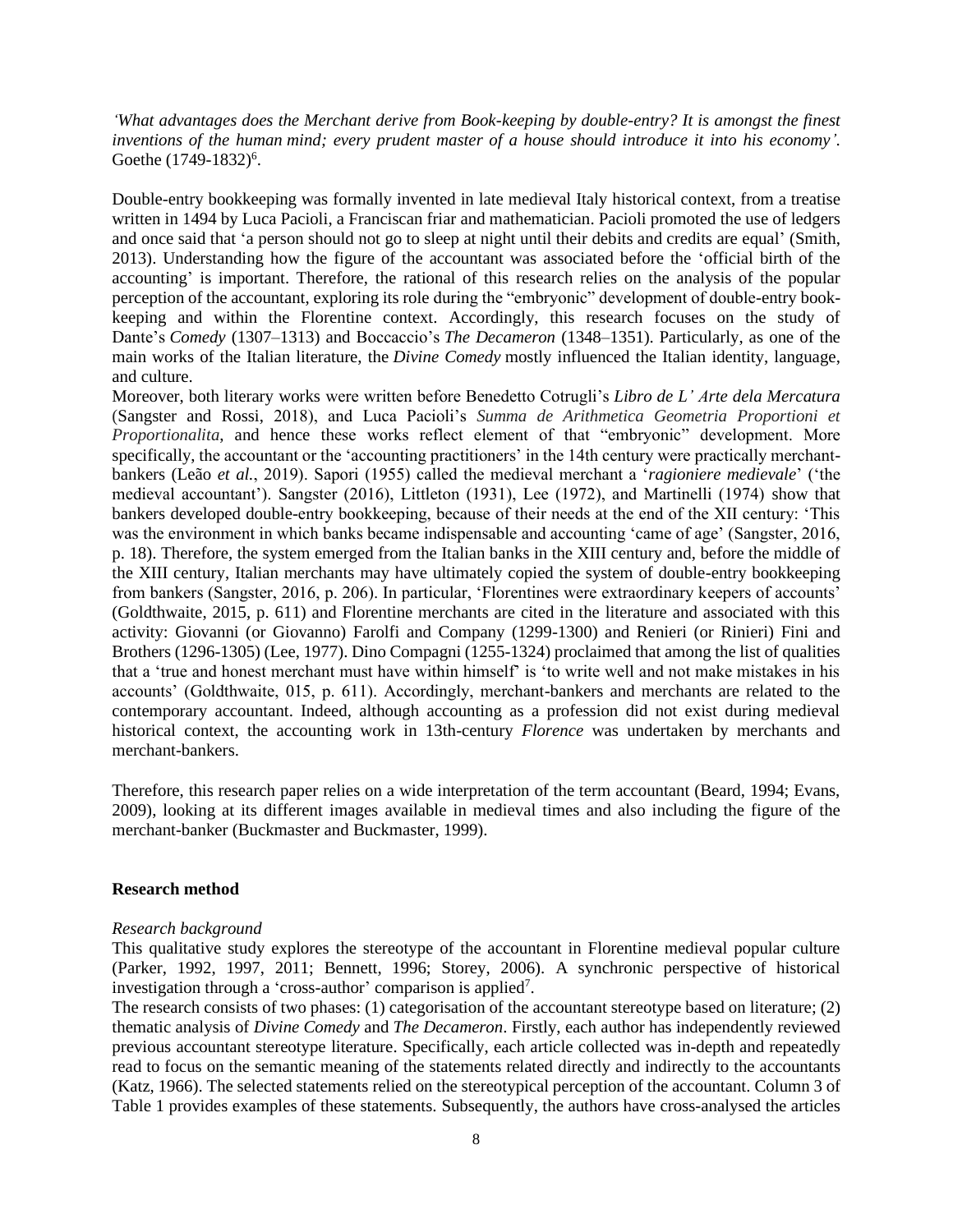*'What advantages does the Merchant derive from Book-keeping by double-entry? It is amongst the finest inventions of the human mind; every prudent master of a house should introduce it into his economy'.*  Goethe (1749-1832)<sup>6</sup>.

Double-entry bookkeeping was formally invented in late medieval Italy historical context, from a treatise written in 1494 by Luca Pacioli, a Franciscan friar and mathematician. Pacioli promoted the use of ledgers and once said that 'a person should not go to sleep at night until their debits and credits are equal' (Smith, 2013). Understanding how the figure of the accountant was associated before the 'official birth of the accounting' is important. Therefore, the rational of this research relies on the analysis of the popular perception of the accountant, exploring its role during the "embryonic" development of double-entry bookkeeping and within the Florentine context. Accordingly, this research focuses on the study of Dante's *Comedy* (1307–1313) and Boccaccio's *The Decameron* (1348–1351)*.* Particularly, as one of the main works of the Italian literature, the *Divine Comedy* mostly influenced the Italian identity, language, and culture.

Moreover, both literary works were written before Benedetto Cotrugli's *Libro de L' Arte dela Mercatura* (Sangster and Rossi, 2018), and Luca Pacioli's *Summa de Arithmetica Geometria Proportioni et Proportionalita*, and hence these works reflect element of that "embryonic" development. More specifically, the accountant or the 'accounting practitioners' in the 14th century were practically merchantbankers (Leão *et al.*, 2019). Sapori (1955) called the medieval merchant a '*ragioniere medievale*' ('the medieval accountant'). Sangster (2016), Littleton (1931), Lee (1972), and Martinelli (1974) show that bankers developed double-entry bookkeeping, because of their needs at the end of the XII century: 'This was the environment in which banks became indispensable and accounting 'came of age' (Sangster, 2016, p. 18). Therefore, the system emerged from the Italian banks in the XIII century and, before the middle of the XIII century, Italian merchants may have ultimately copied the system of double-entry bookkeeping from bankers (Sangster, 2016, p. 206). In particular, 'Florentines were extraordinary keepers of accounts' (Goldthwaite, 2015, p. 611) and Florentine merchants are cited in the literature and associated with this activity: Giovanni (or Giovanno) Farolfi and Company (1299-1300) and Renieri (or Rinieri) Fini and Brothers (1296-1305) (Lee, 1977). Dino Compagni (1255-1324) proclaimed that among the list of qualities that a 'true and honest merchant must have within himself' is 'to write well and not make mistakes in his accounts' (Goldthwaite, 015, p. 611). Accordingly, merchant-bankers and merchants are related to the contemporary accountant. Indeed, although accounting as a profession did not exist during medieval historical context, the accounting work in 13th-century *Florence* was undertaken by merchants and merchant-bankers.

Therefore, this research paper relies on a wide interpretation of the term accountant (Beard, 1994; Evans, 2009), looking at its different images available in medieval times and also including the figure of the merchant-banker (Buckmaster and Buckmaster, 1999).

#### **Research method**

#### *Research background*

This qualitative study explores the stereotype of the accountant in Florentine medieval popular culture (Parker, 1992, 1997, 2011; Bennett, 1996; Storey, 2006). A synchronic perspective of historical investigation through a 'cross-author' comparison is applied<sup>7</sup>.

The research consists of two phases: (1) categorisation of the accountant stereotype based on literature; (2) thematic analysis of *Divine Comedy* and *The Decameron*. Firstly, each author has independently reviewed previous accountant stereotype literature. Specifically, each article collected was in-depth and repeatedly read to focus on the semantic meaning of the statements related directly and indirectly to the accountants (Katz, 1966). The selected statements relied on the stereotypical perception of the accountant. Column 3 of Table 1 provides examples of these statements. Subsequently, the authors have cross-analysed the articles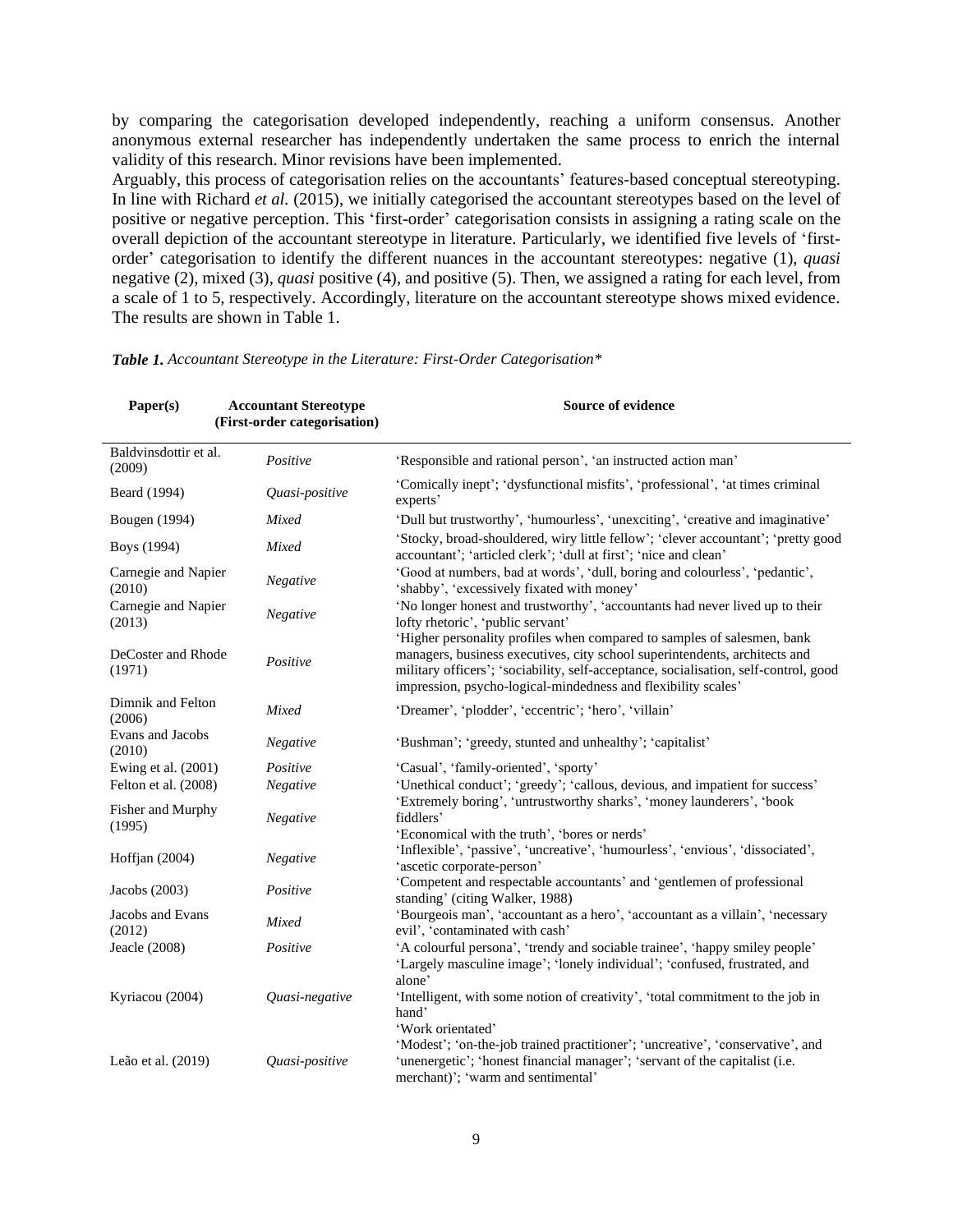by comparing the categorisation developed independently, reaching a uniform consensus. Another anonymous external researcher has independently undertaken the same process to enrich the internal validity of this research. Minor revisions have been implemented.

Arguably, this process of categorisation relies on the accountants' features-based conceptual stereotyping. In line with Richard *et al.* (2015), we initially categorised the accountant stereotypes based on the level of positive or negative perception. This 'first-order' categorisation consists in assigning a rating scale on the overall depiction of the accountant stereotype in literature. Particularly, we identified five levels of 'firstorder' categorisation to identify the different nuances in the accountant stereotypes: negative (1), *quasi* negative (2), mixed (3), *quasi* positive (4), and positive (5). Then, we assigned a rating for each level, from a scale of 1 to 5, respectively. Accordingly, literature on the accountant stereotype shows mixed evidence. The results are shown in Table 1.

| Paper(s)                        | <b>Accountant Stereotype</b><br>(First-order categorisation) | Source of evidence                                                                                                                                                                                                                                                                                             |
|---------------------------------|--------------------------------------------------------------|----------------------------------------------------------------------------------------------------------------------------------------------------------------------------------------------------------------------------------------------------------------------------------------------------------------|
| Baldvinsdottir et al.<br>(2009) | Positive                                                     | 'Responsible and rational person', 'an instructed action man'                                                                                                                                                                                                                                                  |
| Beard (1994)                    | Quasi-positive                                               | 'Comically inept'; 'dysfunctional misfits', 'professional', 'at times criminal<br>experts'                                                                                                                                                                                                                     |
| Bougen (1994)                   | Mixed                                                        | 'Dull but trustworthy', 'humourless', 'unexciting', 'creative and imaginative'                                                                                                                                                                                                                                 |
| Boys (1994)                     | Mixed                                                        | 'Stocky, broad-shouldered, wiry little fellow'; 'clever accountant'; 'pretty good<br>accountant'; 'articled clerk'; 'dull at first'; 'nice and clean'                                                                                                                                                          |
| Carnegie and Napier<br>(2010)   | Negative                                                     | 'Good at numbers, bad at words', 'dull, boring and colourless', 'pedantic',<br>'shabby', 'excessively fixated with money'                                                                                                                                                                                      |
| Carnegie and Napier<br>(2013)   | Negative                                                     | 'No longer honest and trustworthy', 'accountants had never lived up to their<br>lofty rhetoric', 'public servant'                                                                                                                                                                                              |
| DeCoster and Rhode<br>(1971)    | Positive                                                     | 'Higher personality profiles when compared to samples of salesmen, bank<br>managers, business executives, city school superintendents, architects and<br>military officers'; 'sociability, self-acceptance, socialisation, self-control, good<br>impression, psycho-logical-mindedness and flexibility scales' |
| Dimnik and Felton<br>(2006)     | Mixed                                                        | 'Dreamer', 'plodder', 'eccentric'; 'hero', 'villain'                                                                                                                                                                                                                                                           |
| Evans and Jacobs<br>(2010)      | Negative                                                     | 'Bushman'; 'greedy, stunted and unhealthy'; 'capitalist'                                                                                                                                                                                                                                                       |
| Ewing et al. (2001)             | Positive                                                     | 'Casual', 'family-oriented', 'sporty'                                                                                                                                                                                                                                                                          |
| Felton et al. (2008)            | Negative                                                     | 'Unethical conduct'; 'greedy'; 'callous, devious, and impatient for success'                                                                                                                                                                                                                                   |
| Fisher and Murphy<br>(1995)     | Negative                                                     | 'Extremely boring', 'untrustworthy sharks', 'money launderers', 'book<br>fiddlers'<br>'Economical with the truth', 'bores or nerds'                                                                                                                                                                            |
| Hoffjan $(2004)$                | Negative                                                     | 'Inflexible', 'passive', 'uncreative', 'humourless', 'envious', 'dissociated',<br>'ascetic corporate-person'                                                                                                                                                                                                   |
| Jacobs (2003)                   | Positive                                                     | 'Competent and respectable accountants' and 'gentlemen of professional<br>standing' (citing Walker, 1988)                                                                                                                                                                                                      |
| Jacobs and Evans<br>(2012)      | Mixed                                                        | 'Bourgeois man', 'accountant as a hero', 'accountant as a villain', 'necessary<br>evil', 'contaminated with cash'                                                                                                                                                                                              |
| Jeacle (2008)                   | Positive                                                     | 'A colourful persona', 'trendy and sociable trainee', 'happy smiley people'<br>'Largely masculine image'; 'lonely individual'; 'confused, frustrated, and<br>alone'                                                                                                                                            |
| Kyriacou (2004)                 | Quasi-negative                                               | 'Intelligent, with some notion of creativity', 'total commitment to the job in<br>hand'                                                                                                                                                                                                                        |
| Leão et al. (2019)              | Quasi-positive                                               | 'Work orientated'<br>'Modest'; 'on-the-job trained practitioner'; 'uncreative', 'conservative', and<br>'unenergetic'; 'honest financial manager'; 'servant of the capitalist (i.e.<br>merchant)'; 'warm and sentimental'                                                                                       |

*Table 1. Accountant Stereotype in the Literature: First-Order Categorisation\**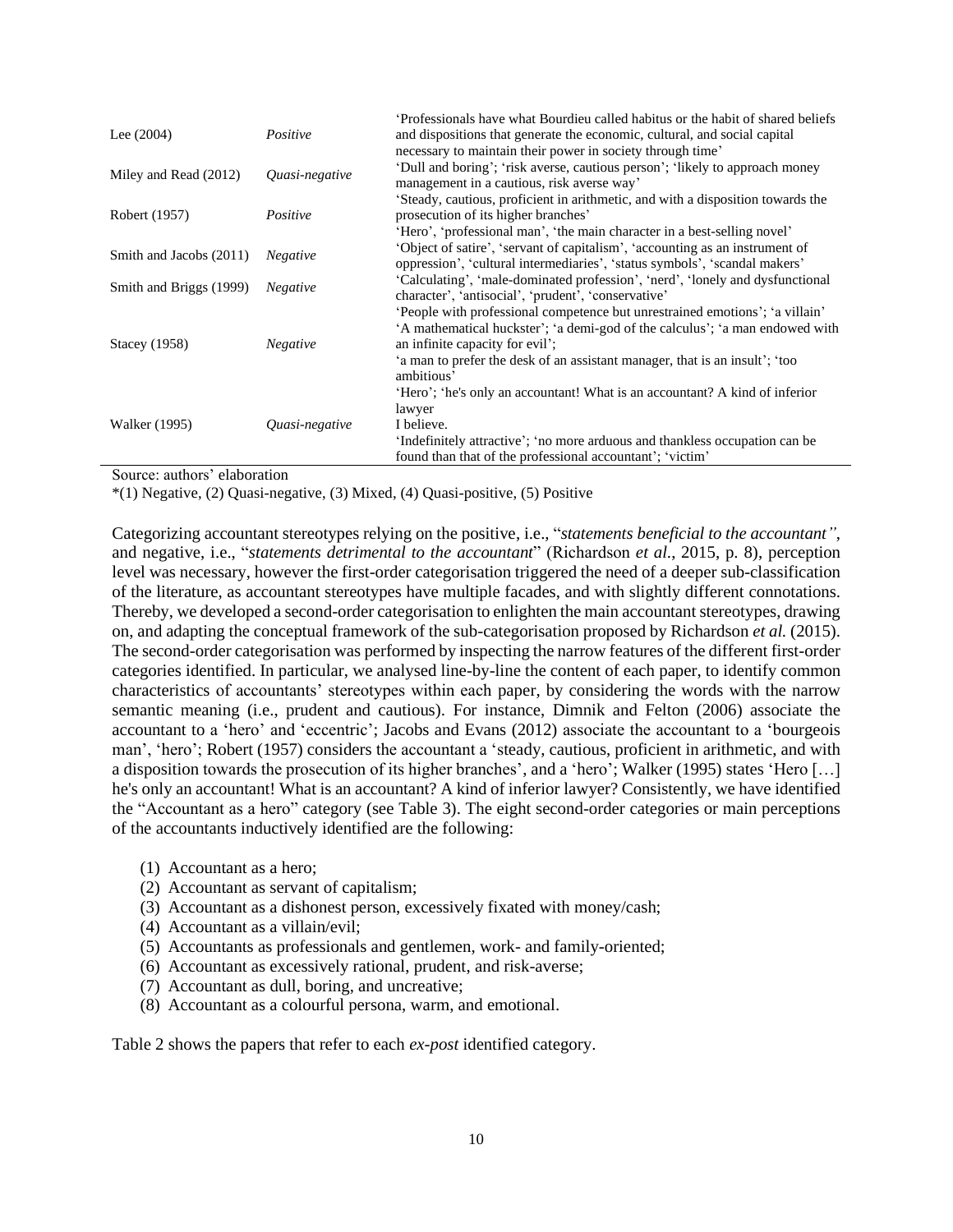| Lee $(2004)$            | Positive        | Professionals have what Bourdieu called habitus or the habit of shared beliefs<br>and dispositions that generate the economic, cultural, and social capital                                                                                                                                 |
|-------------------------|-----------------|---------------------------------------------------------------------------------------------------------------------------------------------------------------------------------------------------------------------------------------------------------------------------------------------|
| Miley and Read (2012)   | Quasi-negative  | necessary to maintain their power in society through time'<br>'Dull and boring'; 'risk averse, cautious person'; 'likely to approach money<br>management in a cautious, risk averse way'                                                                                                    |
| Robert (1957)           | Positive        | 'Steady, cautious, proficient in arithmetic, and with a disposition towards the<br>prosecution of its higher branches'                                                                                                                                                                      |
| Smith and Jacobs (2011) | <b>Negative</b> | 'Hero', 'professional man', 'the main character in a best-selling novel'<br>Object of satire', 'servant of capitalism', 'accounting as an instrument of<br>oppression', 'cultural intermediaries', 'status symbols', 'scandal makers'                                                       |
| Smith and Briggs (1999) | <b>Negative</b> | 'Calculating', 'male-dominated profession', 'nerd', 'lonely and dysfunctional<br>character', 'antisocial', 'prudent', 'conservative'                                                                                                                                                        |
| Stacey (1958)           | <b>Negative</b> | 'People with professional competence but unrestrained emotions'; 'a villain'<br>A mathematical huckster'; 'a demi-god of the calculus'; 'a man endowed with<br>an infinite capacity for evil';<br>'a man to prefer the desk of an assistant manager, that is an insult'; 'too<br>ambitious' |
| <b>Walker</b> (1995)    | Quasi-negative  | 'Hero'; 'he's only an accountant! What is an accountant? A kind of inferior<br>lawyer<br>I believe.<br>'Indefinitely attractive'; 'no more arduous and thankless occupation can be<br>found than that of the professional accountant'; 'victim'                                             |

Source: authors' elaboration

\*(1) Negative, (2) Quasi-negative, (3) Mixed, (4) Quasi-positive, (5) Positive

Categorizing accountant stereotypes relying on the positive, i.e., "*statements beneficial to the accountant"*, and negative, i.e., "*statements detrimental to the accountant*" (Richardson *et al.*, 2015, p. 8), perception level was necessary, however the first-order categorisation triggered the need of a deeper sub-classification of the literature, as accountant stereotypes have multiple facades, and with slightly different connotations. Thereby, we developed a second-order categorisation to enlighten the main accountant stereotypes, drawing on, and adapting the conceptual framework of the sub-categorisation proposed by Richardson *et al.* (2015). The second-order categorisation was performed by inspecting the narrow features of the different first-order categories identified. In particular, we analysed line-by-line the content of each paper, to identify common characteristics of accountants' stereotypes within each paper, by considering the words with the narrow semantic meaning (i.e., prudent and cautious). For instance, Dimnik and Felton (2006) associate the accountant to a 'hero' and 'eccentric'; Jacobs and Evans (2012) associate the accountant to a 'bourgeois man', 'hero'; Robert (1957) considers the accountant a 'steady, cautious, proficient in arithmetic, and with a disposition towards the prosecution of its higher branches', and a 'hero'; Walker (1995) states 'Hero […] he's only an accountant! What is an accountant? A kind of inferior lawyer? Consistently, we have identified the "Accountant as a hero" category (see Table 3). The eight second-order categories or main perceptions of the accountants inductively identified are the following:

- (1) Accountant as a hero;
- (2) Accountant as servant of capitalism;
- (3) Accountant as a dishonest person, excessively fixated with money/cash;
- (4) Accountant as a villain/evil;
- (5) Accountants as professionals and gentlemen, work- and family-oriented;
- (6) Accountant as excessively rational, prudent, and risk-averse;
- (7) Accountant as dull, boring, and uncreative;
- (8) Accountant as a colourful persona, warm, and emotional.

Table 2 shows the papers that refer to each *ex-post* identified category.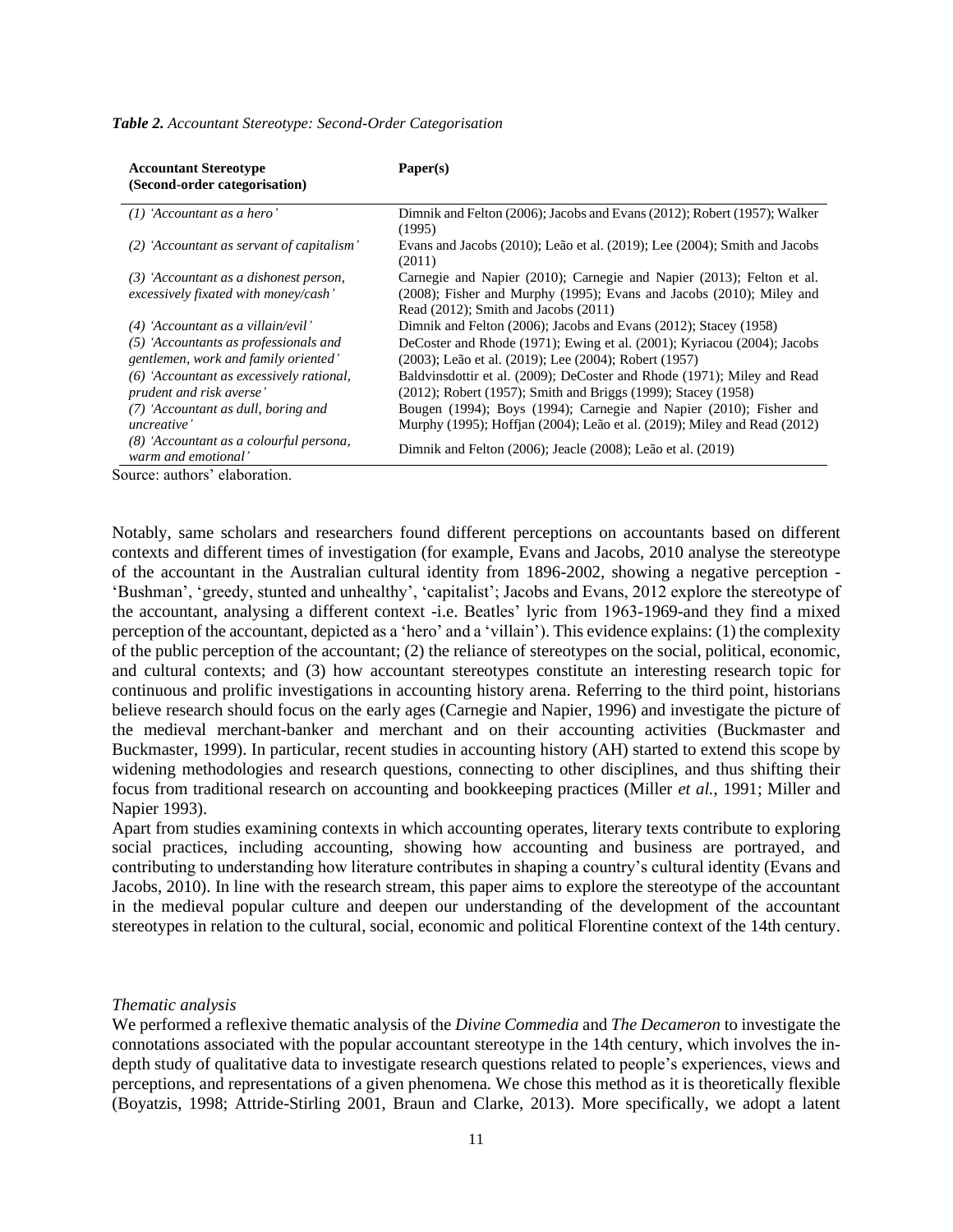| <b>Accountant Stereotype</b><br>(Second-order categorisation)                  | Paper(s)                                                                                                                                                                                       |
|--------------------------------------------------------------------------------|------------------------------------------------------------------------------------------------------------------------------------------------------------------------------------------------|
| $(1)$ 'Accountant as a hero'                                                   | Dimnik and Felton (2006); Jacobs and Evans (2012); Robert (1957); Walker<br>(1995)                                                                                                             |
| (2) 'Accountant as servant of capitalism'                                      | Evans and Jacobs (2010); Leão et al. (2019); Lee (2004); Smith and Jacobs<br>(2011)                                                                                                            |
| (3) 'Accountant as a dishonest person,<br>excessively fixated with money/cash' | Carnegie and Napier (2010); Carnegie and Napier (2013); Felton et al.<br>$(2008)$ ; Fisher and Murphy $(1995)$ ; Evans and Jacobs $(2010)$ ; Miley and<br>Read (2012); Smith and Jacobs (2011) |
| (4) 'Accountant as a villain/evil'                                             | Dimnik and Felton (2006); Jacobs and Evans (2012); Stacey (1958)                                                                                                                               |
| (5) 'Accountants as professionals and<br>gentlemen, work and family oriented'  | DeCoster and Rhode (1971); Ewing et al. (2001); Kyriacou (2004); Jacobs<br>(2003); Leão et al. (2019); Lee (2004); Robert (1957)                                                               |
| (6) 'Accountant as excessively rational,<br>prudent and risk averse'           | Baldvinsdottir et al. (2009); DeCoster and Rhode (1971); Miley and Read<br>(2012); Robert (1957); Smith and Briggs (1999); Stacey (1958)                                                       |
| (7) 'Accountant as dull, boring and                                            | Bougen (1994); Boys (1994); Carnegie and Napier (2010); Fisher and                                                                                                                             |
| uncreative'                                                                    | Murphy (1995); Hoffjan (2004); Leão et al. (2019); Miley and Read (2012)                                                                                                                       |
| (8) 'Accountant as a colourful persona,<br>warm and emotional'                 | Dimnik and Felton (2006); Jeacle (2008); Leão et al. (2019)                                                                                                                                    |
| annos outros del continu                                                       |                                                                                                                                                                                                |

#### *Table 2. Accountant Stereotype: Second-Order Categorisation*

Source: authors' elaboration.

Notably, same scholars and researchers found different perceptions on accountants based on different contexts and different times of investigation (for example, Evans and Jacobs, 2010 analyse the stereotype of the accountant in the Australian cultural identity from 1896-2002, showing a negative perception - 'Bushman', 'greedy, stunted and unhealthy', 'capitalist'; Jacobs and Evans, 2012 explore the stereotype of the accountant, analysing a different context -i.e. Beatles' lyric from 1963-1969-and they find a mixed perception of the accountant, depicted as a 'hero' and a 'villain'). This evidence explains: (1) the complexity of the public perception of the accountant; (2) the reliance of stereotypes on the social, political, economic, and cultural contexts; and (3) how accountant stereotypes constitute an interesting research topic for continuous and prolific investigations in accounting history arena. Referring to the third point, historians believe research should focus on the early ages (Carnegie and Napier, 1996) and investigate the picture of the medieval merchant-banker and merchant and on their accounting activities (Buckmaster and Buckmaster, 1999). In particular, recent studies in accounting history (AH) started to extend this scope by widening methodologies and research questions, connecting to other disciplines, and thus shifting their focus from traditional research on accounting and bookkeeping practices (Miller *et al.*, 1991; Miller and Napier 1993).

Apart from studies examining contexts in which accounting operates, literary texts contribute to exploring social practices, including accounting, showing how accounting and business are portrayed, and contributing to understanding how literature contributes in shaping a country's cultural identity (Evans and Jacobs, 2010). In line with the research stream, this paper aims to explore the stereotype of the accountant in the medieval popular culture and deepen our understanding of the development of the accountant stereotypes in relation to the cultural, social, economic and political Florentine context of the 14th century.

#### *Thematic analysis*

We performed a reflexive thematic analysis of the *Divine Commedia* and *The Decameron* to investigate the connotations associated with the popular accountant stereotype in the 14th century, which involves the indepth study of qualitative data to investigate research questions related to people's experiences, views and perceptions, and representations of a given phenomena. We chose this method as it is theoretically flexible (Boyatzis, 1998; Attride-Stirling 2001, Braun and Clarke, 2013). More specifically, we adopt a latent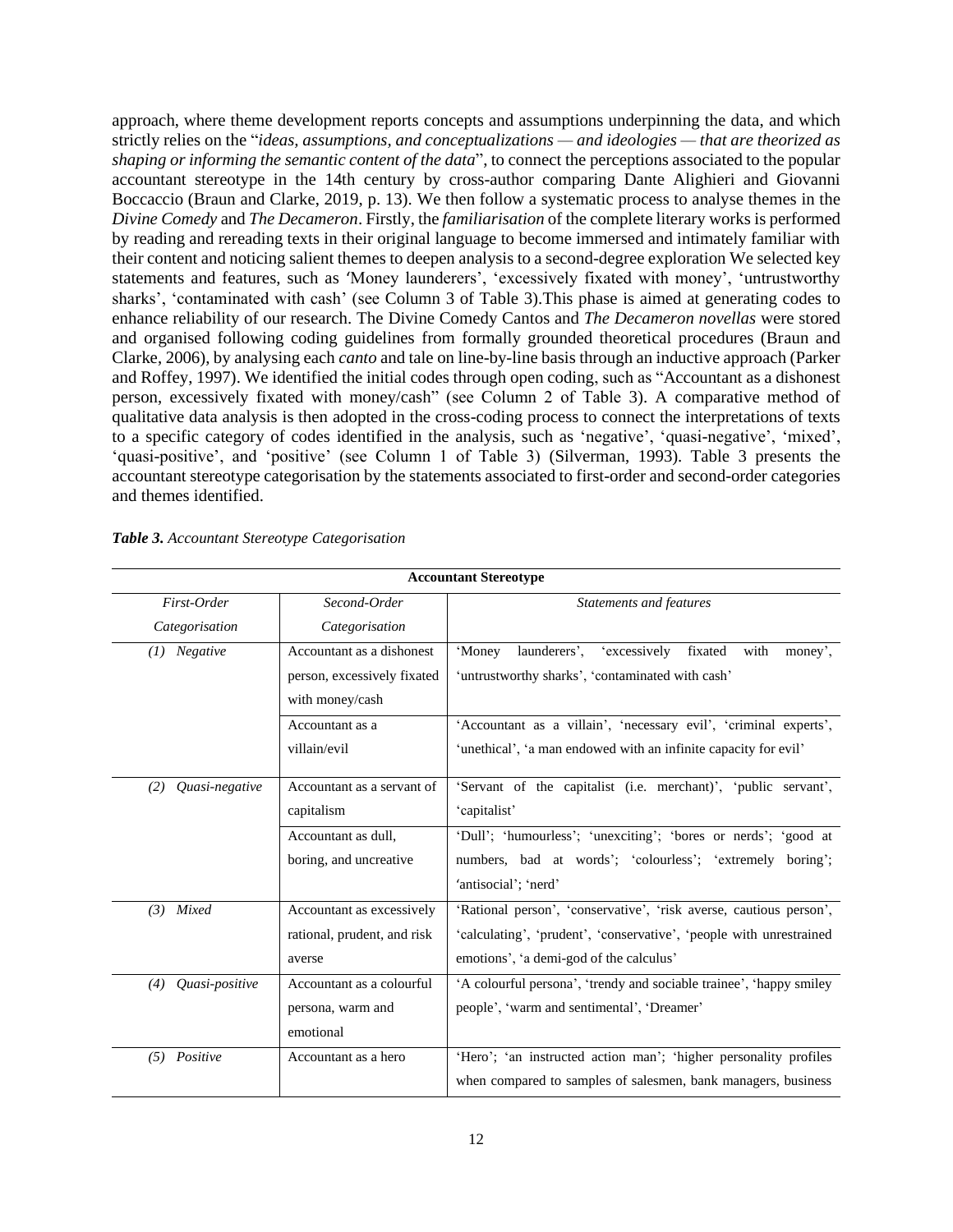approach, where theme development reports concepts and assumptions underpinning the data, and which strictly relies on the "*ideas, assumptions, and conceptualizations — and ideologies — that are theorized as shaping or informing the semantic content of the data*", to connect the perceptions associated to the popular accountant stereotype in the 14th century by cross-author comparing Dante Alighieri and Giovanni Boccaccio (Braun and Clarke, 2019, p. 13). We then follow a systematic process to analyse themes in the *Divine Comedy* and *The Decameron*. Firstly, the *familiarisation* of the complete literary works is performed by reading and rereading texts in their original language to become immersed and intimately familiar with their content and noticing salient themes to deepen analysis to a second-degree exploration We selected key statements and features, such as 'Money launderers', 'excessively fixated with money', 'untrustworthy sharks', 'contaminated with cash' (see Column 3 of Table 3).This phase is aimed at generating codes to enhance reliability of our research. The Divine Comedy Cantos and *The Decameron novellas* were stored and organised following coding guidelines from formally grounded theoretical procedures (Braun and Clarke, 2006), by analysing each *canto* and tale on line-by-line basis through an inductive approach (Parker and Roffey, 1997). We identified the initial codes through open coding, such as "Accountant as a dishonest person, excessively fixated with money/cash" (see Column 2 of Table 3). A comparative method of qualitative data analysis is then adopted in the cross-coding process to connect the interpretations of texts to a specific category of codes identified in the analysis, such as 'negative', 'quasi-negative', 'mixed', 'quasi-positive', and 'positive' (see Column 1 of Table 3) (Silverman, 1993). Table 3 presents the accountant stereotype categorisation by the statements associated to first-order and second-order categories and themes identified.

| <b>Accountant Stereotype</b>  |                                                                             |                                                                                                                                                                                      |  |  |
|-------------------------------|-----------------------------------------------------------------------------|--------------------------------------------------------------------------------------------------------------------------------------------------------------------------------------|--|--|
| First-Order<br>Categorisation | Second-Order<br>Categorisation                                              | <b>Statements and features</b>                                                                                                                                                       |  |  |
| Negative<br>(I)               | Accountant as a dishonest<br>person, excessively fixated<br>with money/cash | with<br>launderers',<br>'excessively<br>fixated<br>'Money<br>money',<br>'untrustworthy sharks', 'contaminated with cash'                                                             |  |  |
|                               | Accountant as a<br>villain/evil                                             | 'Accountant as a villain', 'necessary evil', 'criminal experts',<br>'unethical', 'a man endowed with an infinite capacity for evil'                                                  |  |  |
| Quasi-negative<br>(2)         | Accountant as a servant of<br>capitalism                                    | 'Servant of the capitalist (i.e. merchant)', 'public servant',<br>'capitalist'                                                                                                       |  |  |
|                               | Accountant as dull,<br>boring, and uncreative                               | 'Dull'; 'humourless'; 'unexciting'; 'bores or nerds'; 'good at<br>numbers, bad at words'; 'colourless'; 'extremely boring';<br>'antisocial': 'nerd'                                  |  |  |
| Mixed<br>(3)                  | Accountant as excessively<br>rational, prudent, and risk<br>averse          | 'Rational person', 'conservative', 'risk averse, cautious person',<br>'calculating', 'prudent', 'conservative', 'people with unrestrained<br>emotions', 'a demi-god of the calculus' |  |  |
| Quasi-positive<br>(4)         | Accountant as a colourful<br>persona, warm and<br>emotional                 | 'A colourful persona', 'trendy and sociable trainee', 'happy smiley<br>people', 'warm and sentimental', 'Dreamer'                                                                    |  |  |
| (5) Positive                  | Accountant as a hero                                                        | 'Hero'; 'an instructed action man'; 'higher personality profiles<br>when compared to samples of salesmen, bank managers, business                                                    |  |  |

*Table 3. Accountant Stereotype Categorisation*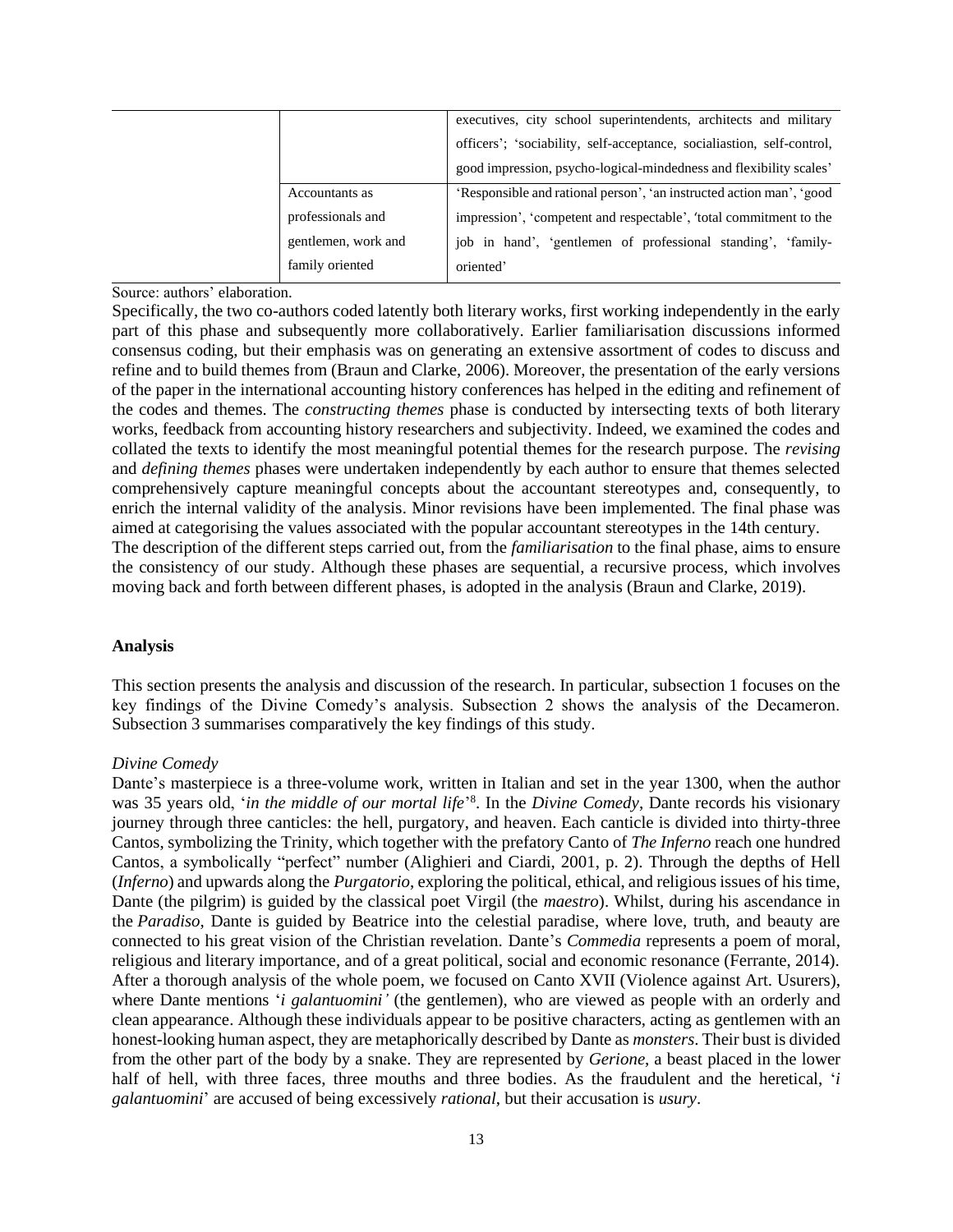|                     | executives, city school superintendents, architects and military       |
|---------------------|------------------------------------------------------------------------|
|                     | officers'; 'sociability, self-acceptance, socialiastion, self-control, |
|                     | good impression, psycho-logical-mindedness and flexibility scales'     |
| Accountants as      | 'Responsible and rational person', 'an instructed action man', 'good   |
| professionals and   | impression', 'competent and respectable', 'total commitment to the     |
| gentlemen, work and | job in hand', 'gentlemen of professional standing', 'family-           |
| family oriented     | oriented'                                                              |

Source: authors' elaboration.

Specifically, the two co-authors coded latently both literary works, first working independently in the early part of this phase and subsequently more collaboratively. Earlier familiarisation discussions informed consensus coding, but their emphasis was on generating an extensive assortment of codes to discuss and refine and to build themes from (Braun and Clarke, 2006). Moreover, the presentation of the early versions of the paper in the international accounting history conferences has helped in the editing and refinement of the codes and themes. The *constructing themes* phase is conducted by intersecting texts of both literary works, feedback from accounting history researchers and subjectivity. Indeed, we examined the codes and collated the texts to identify the most meaningful potential themes for the research purpose. The *revising*  and *defining themes* phases were undertaken independently by each author to ensure that themes selected comprehensively capture meaningful concepts about the accountant stereotypes and, consequently, to enrich the internal validity of the analysis. Minor revisions have been implemented. The final phase was aimed at categorising the values associated with the popular accountant stereotypes in the 14th century. The description of the different steps carried out, from the *familiarisation* to the final phase, aims to ensure the consistency of our study. Although these phases are sequential, a recursive process, which involves moving back and forth between different phases, is adopted in the analysis (Braun and Clarke, 2019).

#### **Analysis**

This section presents the analysis and discussion of the research. In particular, subsection 1 focuses on the key findings of the Divine Comedy's analysis. Subsection 2 shows the analysis of the Decameron. Subsection 3 summarises comparatively the key findings of this study.

#### *Divine Comedy*

Dante's masterpiece is a three-volume work, written in Italian and set in the year 1300, when the author was 35 years old, '*in the middle of our mortal life*' 8 . In the *Divine Comedy*, Dante records his visionary journey through three canticles: the hell, purgatory, and heaven. Each canticle is divided into thirty-three Cantos, symbolizing the Trinity, which together with the prefatory Canto of *The Inferno* reach one hundred Cantos, a symbolically "perfect" number (Alighieri and Ciardi, 2001, p. 2). Through the depths of Hell (*Inferno*) and upwards along the *Purgatorio*, exploring the political, ethical, and religious issues of his time, Dante (the pilgrim) is guided by the classical poet Virgil (the *maestro*). Whilst, during his ascendance in the *Paradiso*, Dante is guided by Beatrice into the celestial paradise, where love, truth, and beauty are connected to his great vision of the Christian revelation. Dante's *Commedia* represents a poem of moral, religious and literary importance, and of a great political, social and economic resonance (Ferrante, 2014). After a thorough analysis of the whole poem, we focused on Canto XVII (Violence against Art. Usurers), where Dante mentions '*i galantuomini'* (the gentlemen), who are viewed as people with an orderly and clean appearance. Although these individuals appear to be positive characters, acting as gentlemen with an honest-looking human aspect, they are metaphorically described by Dante as *monsters*. Their bust is divided from the other part of the body by a snake. They are represented by *Gerione*, a beast placed in the lower half of hell, with three faces, three mouths and three bodies. As the fraudulent and the heretical, '*i galantuomini*' are accused of being excessively *rational*, but their accusation is *usury*.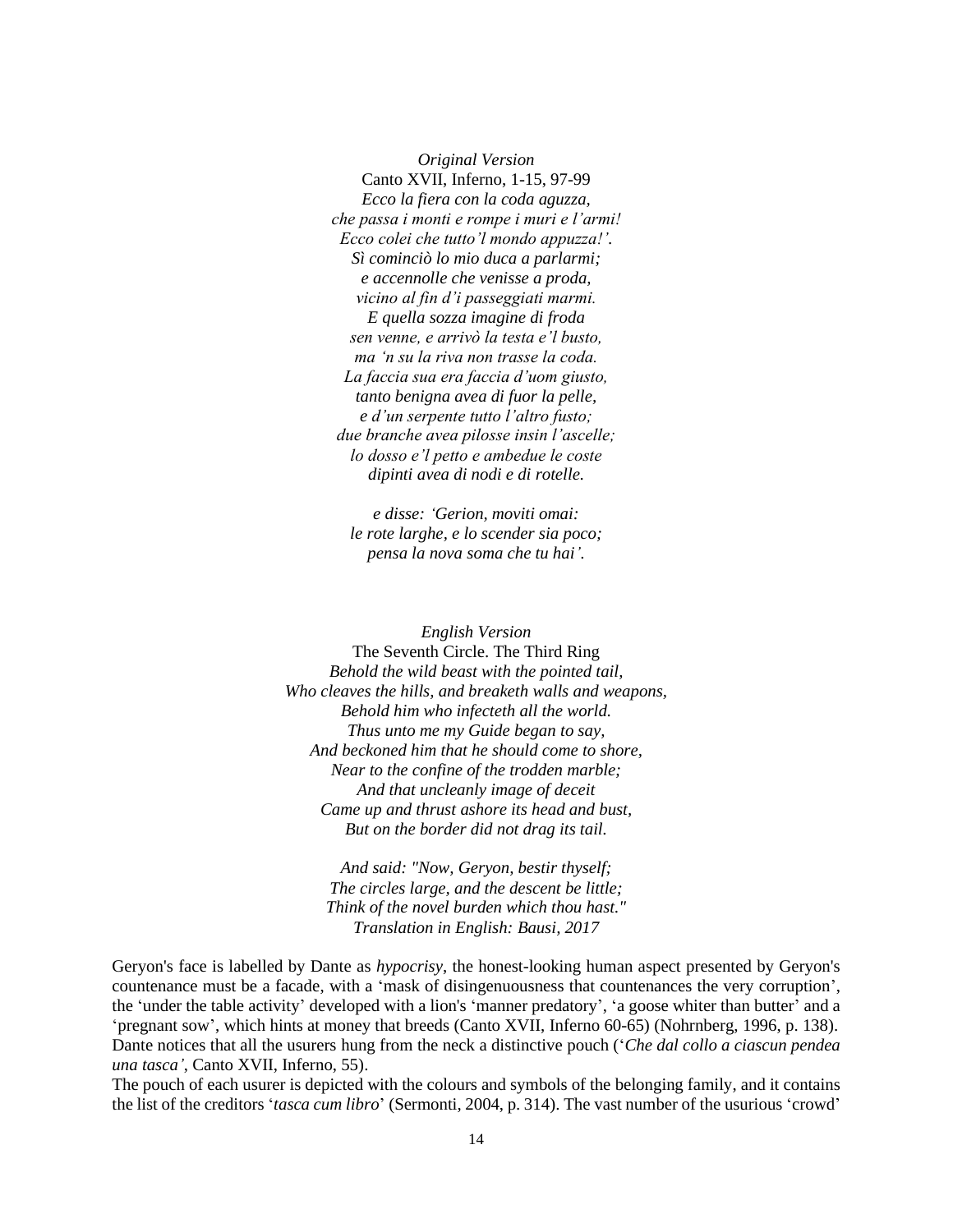*Original Version* Canto XVII, Inferno, 1-15, 97-99 *Ecco la fiera con la coda aguzza, che passa i monti e rompe i muri e l'armi! Ecco colei che tutto'l mondo appuzza!'. Sì cominciò lo mio duca a parlarmi; e accennolle che venisse a proda, vicino al fin d'i passeggiati marmi. E quella sozza imagine di froda sen venne, e arrivò la testa e'l busto, ma 'n su la riva non trasse la coda. La faccia sua era faccia d'uom giusto, tanto benigna avea di fuor la pelle, e d'un serpente tutto l'altro fusto; due branche avea pilosse insin l'ascelle; lo dosso e'l petto e ambedue le coste dipinti avea di nodi e di rotelle.*

*e disse: 'Gerion, moviti omai: le rote larghe, e lo scender sia poco; pensa la nova soma che tu hai'.*

*English Version*  The Seventh Circle. The Third Ring *Behold the wild beast with the pointed tail, Who cleaves the hills, and breaketh walls and weapons, Behold him who infecteth all the world. Thus unto me my Guide began to say, And beckoned him that he should come to shore, Near to the confine of the trodden marble; And that uncleanly image of deceit Came up and thrust ashore its head and bust, But on the border did not drag its tail.*

> *And said: "Now, Geryon, bestir thyself; The circles large, and the descent be little; Think of the novel burden which thou hast." Translation in English: Bausi, 2017*

Geryon's face is labelled by Dante as *hypocrisy*, the honest-looking human aspect presented by Geryon's countenance must be a facade, with a 'mask of disingenuousness that countenances the very corruption', the 'under the table activity' developed with a lion's 'manner predatory', 'a goose whiter than butter' and a 'pregnant sow', which hints at money that breeds (Canto XVII, Inferno 60-65) (Nohrnberg, 1996, p. 138). Dante notices that all the usurers hung from the neck a distinctive pouch ('*Che dal collo a ciascun pendea una tasca'*, Canto XVII, Inferno, 55).

The pouch of each usurer is depicted with the colours and symbols of the belonging family, and it contains the list of the creditors '*tasca cum libro*' (Sermonti, 2004, p. 314). The vast number of the usurious 'crowd'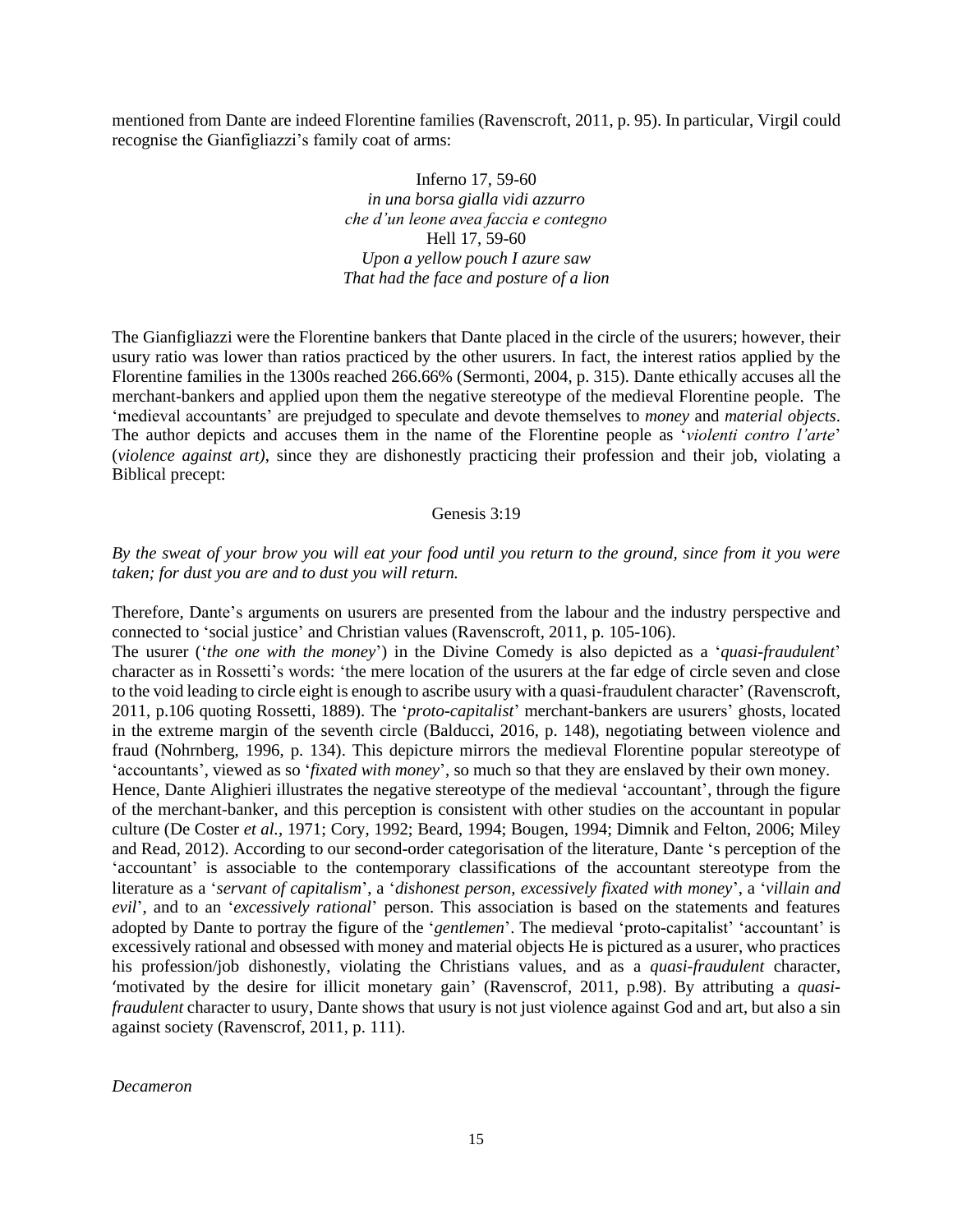mentioned from Dante are indeed Florentine families (Ravenscroft, 2011, p. 95). In particular, Virgil could recognise the Gianfigliazzi's family coat of arms:

> Inferno 17, 59-60 *in una borsa gialla vidi azzurro che d'un leone avea faccia e contegno* Hell 17, 59-60 *Upon a yellow pouch I azure saw That had the face and posture of a lion*

The Gianfigliazzi were the Florentine bankers that Dante placed in the circle of the usurers; however, their usury ratio was lower than ratios practiced by the other usurers. In fact, the interest ratios applied by the Florentine families in the 1300s reached 266.66% (Sermonti, 2004, p. 315). Dante ethically accuses all the merchant-bankers and applied upon them the negative stereotype of the medieval Florentine people. The 'medieval accountants' are prejudged to speculate and devote themselves to *money* and *material objects*. The author depicts and accuses them in the name of the Florentine people as '*violenti contro l'arte*' (*violence against art)*, since they are dishonestly practicing their profession and their job, violating a Biblical precept:

#### Genesis 3:19

#### *By the sweat of your brow you will eat your food until you return to the ground, since from it you were taken; for dust you are and to dust you will return.*

Therefore, Dante's arguments on usurers are presented from the labour and the industry perspective and connected to 'social justice' and Christian values (Ravenscroft, 2011, p. 105-106).

The usurer ('*the one with the money*') in the Divine Comedy is also depicted as a '*quasi*-*fraudulent*' character as in Rossetti's words: 'the mere location of the usurers at the far edge of circle seven and close to the void leading to circle eight is enough to ascribe usury with a quasi-fraudulent character' (Ravenscroft, 2011, p.106 quoting Rossetti, 1889). The '*proto-capitalist*' merchant-bankers are usurers' ghosts, located in the extreme margin of the seventh circle (Balducci, 2016, p. 148), negotiating between violence and fraud (Nohrnberg, 1996, p. 134). This depicture mirrors the medieval Florentine popular stereotype of 'accountants', viewed as so '*fixated with money*', so much so that they are enslaved by their own money.

Hence, Dante Alighieri illustrates the negative stereotype of the medieval 'accountant', through the figure of the merchant-banker, and this perception is consistent with other studies on the accountant in popular culture (De Coster *et al.*, 1971; Cory, 1992; Beard, 1994; Bougen, 1994; Dimnik and Felton, 2006; Miley and Read, 2012). According to our second-order categorisation of the literature, Dante 's perception of the 'accountant' is associable to the contemporary classifications of the accountant stereotype from the literature as a '*servant of capitalism*', a '*dishonest person, excessively fixated with money*', a '*villain and evil*', and to an '*excessively rational*' person. This association is based on the statements and features adopted by Dante to portray the figure of the '*gentlemen*'. The medieval 'proto-capitalist' 'accountant' is excessively rational and obsessed with money and material objects He is pictured as a usurer, who practices his profession/job dishonestly, violating the Christians values, and as a *quasi*-*fraudulent* character, 'motivated by the desire for illicit monetary gain' (Ravenscrof, 2011, p.98). By attributing a *quasifraudulent* character to usury, Dante shows that usury is not just violence against God and art, but also a sin against society (Ravenscrof, 2011, p. 111).

*Decameron*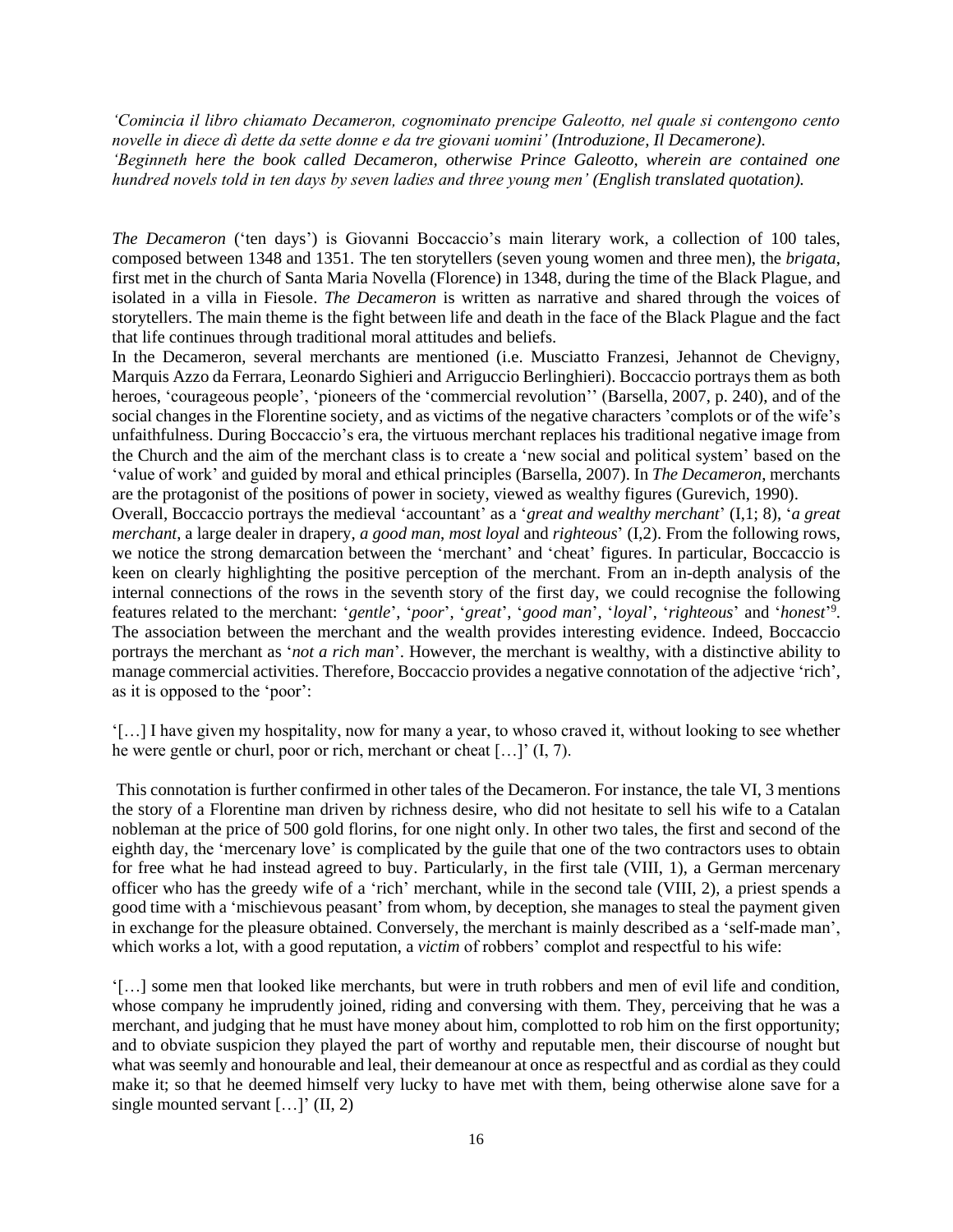*'Comincia il libro chiamato Decameron, cognominato prencipe Galeotto, nel quale si contengono cento novelle in diece dì dette da sette donne e da tre giovani uomini' (Introduzione, Il Decamerone). 'Beginneth here the book called Decameron, otherwise Prince Galeotto, wherein are contained one hundred novels told in ten days by seven ladies and three young men' (English translated quotation).*

*The Decameron* ('ten days') is Giovanni Boccaccio's main literary work, a collection of 100 tales, composed between 1348 and 1351. The ten storytellers (seven young women and three men), the *brigata*, first met in the church of Santa Maria Novella (Florence) in 1348, during the time of the Black Plague, and isolated in a villa in Fiesole. *The Decameron* is written as narrative and shared through the voices of storytellers. The main theme is the fight between life and death in the face of the Black Plague and the fact that life continues through traditional moral attitudes and beliefs.

In the Decameron, several merchants are mentioned (i.e. Musciatto Franzesi, Jehannot de Chevigny, Marquis Azzo da Ferrara, Leonardo Sighieri and Arriguccio Berlinghieri). Boccaccio portrays them as both heroes, 'courageous people', 'pioneers of the 'commercial revolution'' (Barsella, 2007, p. 240), and of the social changes in the Florentine society, and as victims of the negative characters 'complots or of the wife's unfaithfulness. During Boccaccio's era, the virtuous merchant replaces his traditional negative image from the Church and the aim of the merchant class is to create a 'new social and political system' based on the 'value of work' and guided by moral and ethical principles (Barsella, 2007). In *The Decameron*, merchants are the protagonist of the positions of power in society, viewed as wealthy figures (Gurevich, 1990).

Overall, Boccaccio portrays the medieval 'accountant' as a '*great and wealthy merchant*' (I,1; 8), '*a great merchant*, a large dealer in drapery, *a good man*, *most loyal* and *righteous*' (I,2). From the following rows, we notice the strong demarcation between the 'merchant' and 'cheat' figures. In particular, Boccaccio is keen on clearly highlighting the positive perception of the merchant. From an in-depth analysis of the internal connections of the rows in the seventh story of the first day, we could recognise the following features related to the merchant: '*gentle*', '*poor*', '*great*', '*good man*', '*loyal*', '*righteous*' and '*honest*' 9 . The association between the merchant and the wealth provides interesting evidence. Indeed, Boccaccio portrays the merchant as '*not a rich man*'. However, the merchant is wealthy, with a distinctive ability to manage commercial activities. Therefore, Boccaccio provides a negative connotation of the adjective 'rich', as it is opposed to the 'poor':

'[…] I have given my hospitality, now for many a year, to whoso craved it, without looking to see whether he were gentle or churl, poor or rich, merchant or cheat […]' (I, 7).

This connotation is further confirmed in other tales of the Decameron. For instance, the tale VI, 3 mentions the story of a Florentine man driven by richness desire, who did not hesitate to sell his wife to a Catalan nobleman at the price of 500 gold florins, for one night only. In other two tales, the first and second of the eighth day, the 'mercenary love' is complicated by the guile that one of the two contractors uses to obtain for free what he had instead agreed to buy. Particularly, in the first tale (VIII, 1), a German mercenary officer who has the greedy wife of a 'rich' merchant, while in the second tale (VIII, 2), a priest spends a good time with a 'mischievous peasant' from whom, by deception, she manages to steal the payment given in exchange for the pleasure obtained. Conversely, the merchant is mainly described as a 'self-made man', which works a lot, with a good reputation, a *victim* of robbers' complot and respectful to his wife:

'[…] some men that looked like merchants, but were in truth robbers and men of evil life and condition, whose company he imprudently joined, riding and conversing with them. They, perceiving that he was a merchant, and judging that he must have money about him, complotted to rob him on the first opportunity; and to obviate suspicion they played the part of worthy and reputable men, their discourse of nought but what was seemly and honourable and leal, their demeanour at once as respectful and as cordial as they could make it; so that he deemed himself very lucky to have met with them, being otherwise alone save for a single mounted servant  $[...]'$  (II, 2)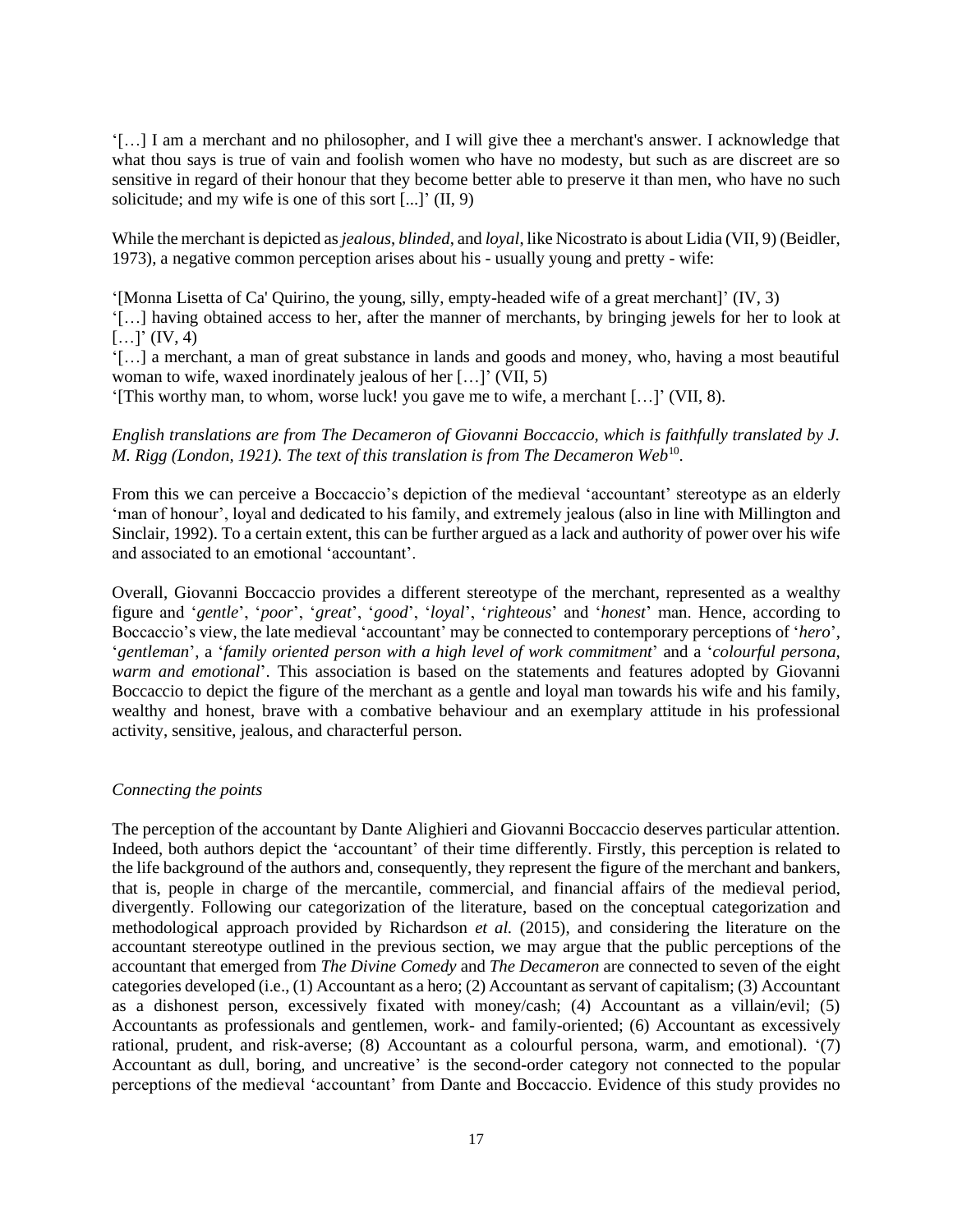'[…] I am a merchant and no philosopher, and I will give thee a merchant's answer. I acknowledge that what thou says is true of vain and foolish women who have no modesty, but such as are discreet are so sensitive in regard of their honour that they become better able to preserve it than men, who have no such solicitude; and my wife is one of this sort [...]' (II, 9)

While the merchant is depicted as*jealous*, *blinded*, and *loyal*, like Nicostrato is about Lidia (VII, 9) (Beidler, 1973), a negative common perception arises about his - usually young and pretty - wife:

'[Monna Lisetta of Ca' Quirino, the young, silly, empty-headed wife of a great merchant]' (IV, 3) '[…] having obtained access to her, after the manner of merchants, by bringing jewels for her to look at  $[...]' (IV, 4)$ 

'[…] a merchant, a man of great substance in lands and goods and money, who, having a most beautiful woman to wife, waxed inordinately jealous of her […]' (VII, 5)

'[This worthy man, to whom, worse luck! you gave me to wife, a merchant […]' (VII, 8).

#### *English translations are from The Decameron of Giovanni Boccaccio, which is faithfully translated by J.*  M. Rigg (London, 1921). The text of this translation is from The Decameron Web<sup>10</sup>.

From this we can perceive a Boccaccio's depiction of the medieval 'accountant' stereotype as an elderly 'man of honour', loyal and dedicated to his family, and extremely jealous (also in line with Millington and Sinclair, 1992). To a certain extent, this can be further argued as a lack and authority of power over his wife and associated to an emotional 'accountant'.

Overall, Giovanni Boccaccio provides a different stereotype of the merchant, represented as a wealthy figure and '*gentle*', '*poor*', '*great*', '*good*', '*loyal*', '*righteous*' and '*honest*' man. Hence, according to Boccaccio's view, the late medieval 'accountant' may be connected to contemporary perceptions of '*hero*', '*gentleman*', a '*family oriented person with a high level of work commitment*' and a '*colourful persona, warm and emotional*'. This association is based on the statements and features adopted by Giovanni Boccaccio to depict the figure of the merchant as a gentle and loyal man towards his wife and his family, wealthy and honest, brave with a combative behaviour and an exemplary attitude in his professional activity, sensitive, jealous, and characterful person.

#### *Connecting the points*

The perception of the accountant by Dante Alighieri and Giovanni Boccaccio deserves particular attention. Indeed, both authors depict the 'accountant' of their time differently. Firstly, this perception is related to the life background of the authors and, consequently, they represent the figure of the merchant and bankers, that is, people in charge of the mercantile, commercial, and financial affairs of the medieval period, divergently. Following our categorization of the literature, based on the conceptual categorization and methodological approach provided by Richardson *et al.* (2015), and considering the literature on the accountant stereotype outlined in the previous section, we may argue that the public perceptions of the accountant that emerged from *The Divine Comedy* and *The Decameron* are connected to seven of the eight categories developed (i.e., (1) Accountant as a hero; (2) Accountant as servant of capitalism; (3) Accountant as a dishonest person, excessively fixated with money/cash; (4) Accountant as a villain/evil; (5) Accountants as professionals and gentlemen, work- and family-oriented; (6) Accountant as excessively rational, prudent, and risk-averse; (8) Accountant as a colourful persona, warm, and emotional). '(7) Accountant as dull, boring, and uncreative' is the second-order category not connected to the popular perceptions of the medieval 'accountant' from Dante and Boccaccio. Evidence of this study provides no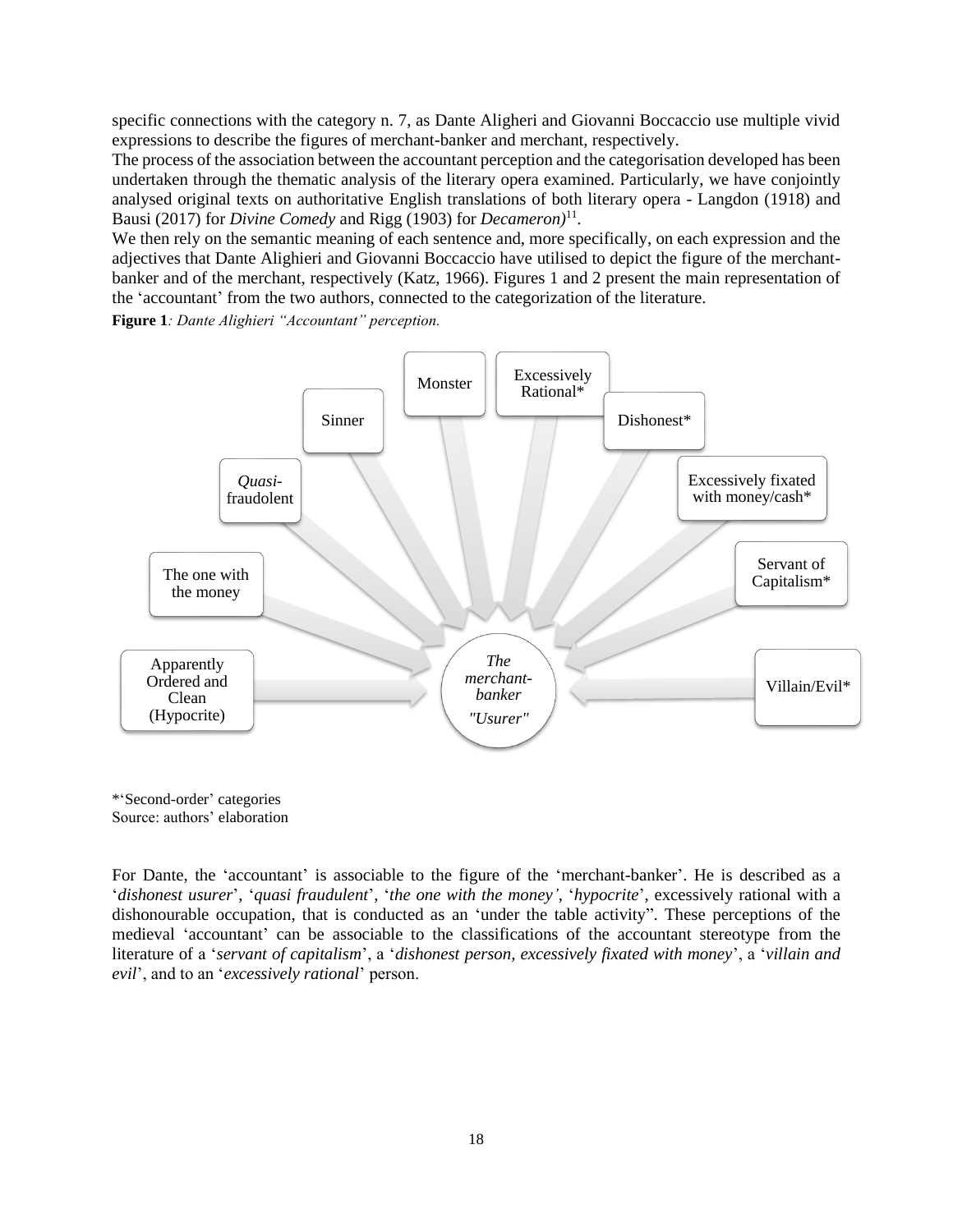specific connections with the category n. 7, as Dante Aligheri and Giovanni Boccaccio use multiple vivid expressions to describe the figures of merchant-banker and merchant, respectively.

The process of the association between the accountant perception and the categorisation developed has been undertaken through the thematic analysis of the literary opera examined. Particularly, we have conjointly analysed original texts on authoritative English translations of both literary opera - Langdon (1918) and Bausi (2017) for *Divine Comedy* and Rigg (1903) for *Decameron)*<sup>11</sup> .

We then rely on the semantic meaning of each sentence and, more specifically, on each expression and the adjectives that Dante Alighieri and Giovanni Boccaccio have utilised to depict the figure of the merchantbanker and of the merchant, respectively (Katz, 1966). Figures 1 and 2 present the main representation of the 'accountant' from the two authors, connected to the categorization of the literature.

**Figure 1***: Dante Alighieri "Accountant" perception.*



\*'Second-order' categories Source: authors' elaboration

For Dante, the 'accountant' is associable to the figure of the 'merchant-banker'. He is described as a '*dishonest usurer*', '*quasi fraudulent*', '*the one with the money'*, '*hypocrite*', excessively rational with a dishonourable occupation, that is conducted as an 'under the table activity". These perceptions of the medieval 'accountant' can be associable to the classifications of the accountant stereotype from the literature of a '*servant of capitalism*', a '*dishonest person, excessively fixated with money*', a '*villain and evil*', and to an '*excessively rational*' person.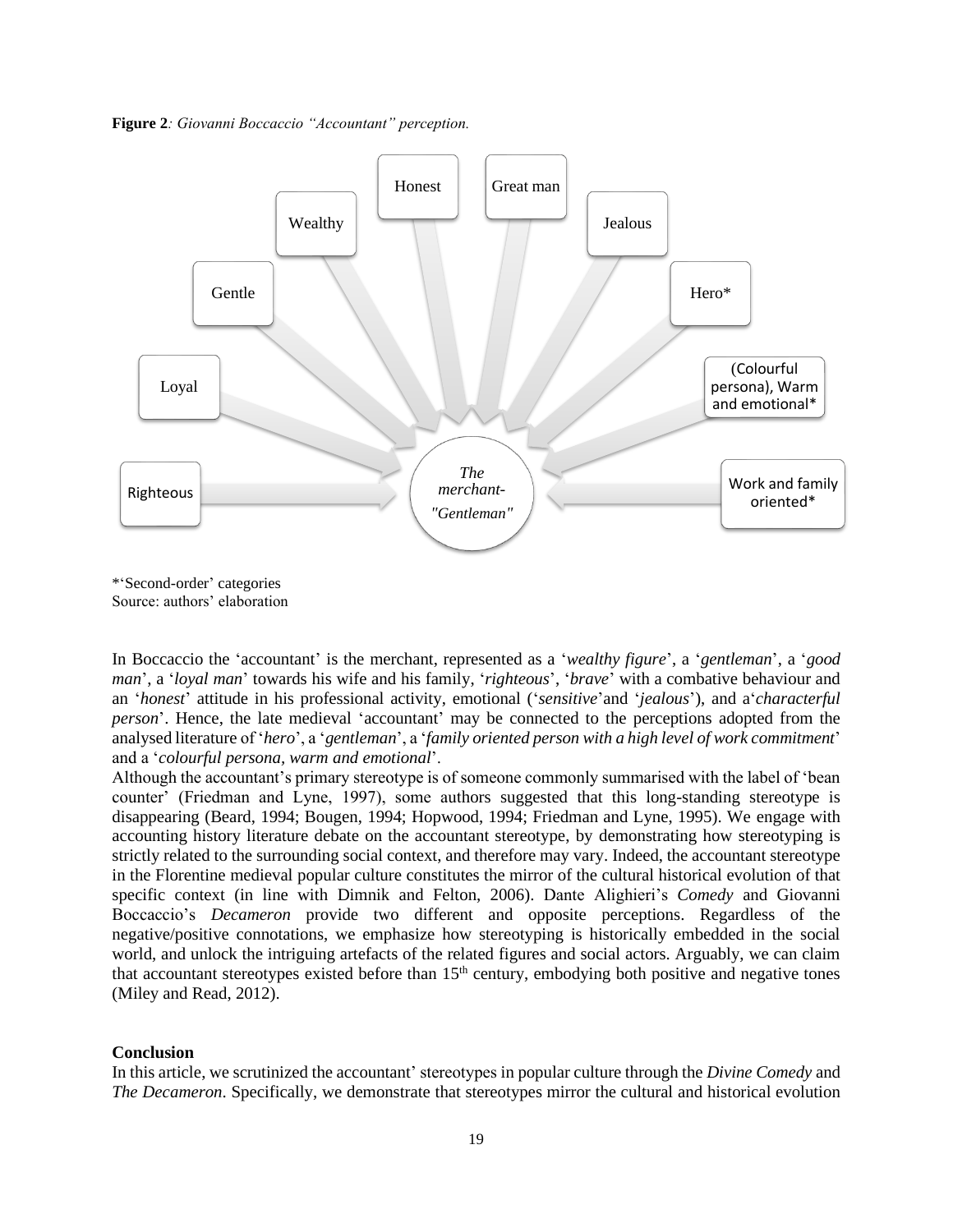**Figure 2***: Giovanni Boccaccio "Accountant" perception.*



\*'Second-order' categories Source: authors' elaboration

In Boccaccio the 'accountant' is the merchant, represented as a '*wealthy figure*', a '*gentleman*', a '*good man*', a '*loyal man*' towards his wife and his family, '*righteous*', '*brave*' with a combative behaviour and an '*honest*' attitude in his professional activity, emotional ('*sensitive*'and '*jealous*'), and a'*characterful person*'. Hence, the late medieval 'accountant' may be connected to the perceptions adopted from the analysed literature of '*hero*', a '*gentleman*', a '*family oriented person with a high level of work commitment*' and a '*colourful persona, warm and emotional*'.

Although the accountant's primary stereotype is of someone commonly summarised with the label of 'bean counter' (Friedman and Lyne, 1997), some authors suggested that this long-standing stereotype is disappearing (Beard, 1994; Bougen, 1994; Hopwood, 1994; Friedman and Lyne, 1995). We engage with accounting history literature debate on the accountant stereotype, by demonstrating how stereotyping is strictly related to the surrounding social context, and therefore may vary. Indeed, the accountant stereotype in the Florentine medieval popular culture constitutes the mirror of the cultural historical evolution of that specific context (in line with Dimnik and Felton, 2006). Dante Alighieri's *Comedy* and Giovanni Boccaccio's *Decameron* provide two different and opposite perceptions. Regardless of the negative/positive connotations, we emphasize how stereotyping is historically embedded in the social world, and unlock the intriguing artefacts of the related figures and social actors. Arguably, we can claim that accountant stereotypes existed before than 15<sup>th</sup> century, embodying both positive and negative tones (Miley and Read, 2012).

#### **Conclusion**

In this article, we scrutinized the accountant' stereotypes in popular culture through the *Divine Comedy* and *The Decameron*. Specifically, we demonstrate that stereotypes mirror the cultural and historical evolution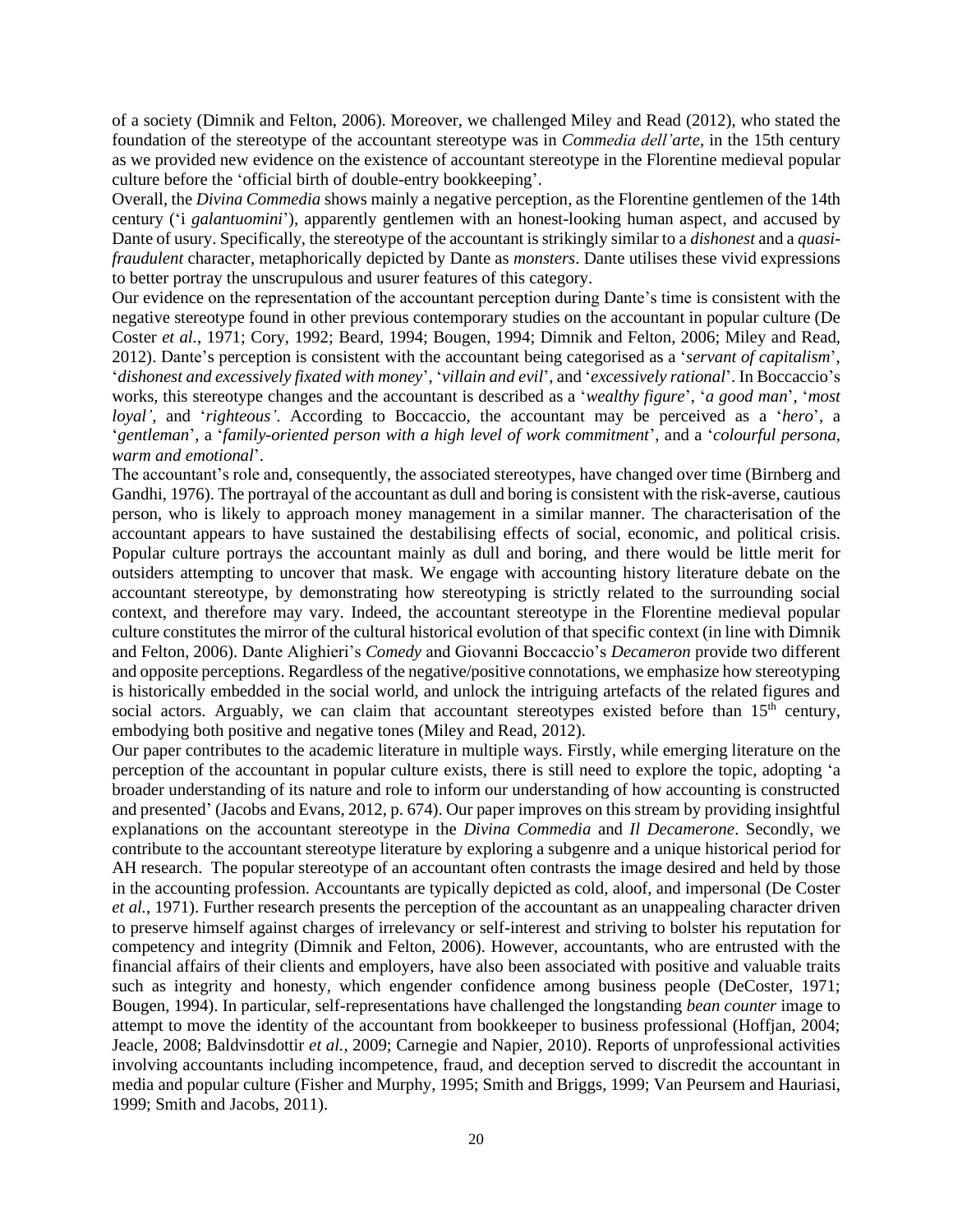of a society (Dimnik and Felton, 2006). Moreover, we challenged Miley and Read (2012), who stated the foundation of the stereotype of the accountant stereotype was in *Commedia dell'arte*, in the 15th century as we provided new evidence on the existence of accountant stereotype in the Florentine medieval popular culture before the 'official birth of double-entry bookkeeping'.

Overall, the *Divina Commedia* shows mainly a negative perception, as the Florentine gentlemen of the 14th century ('i *galantuomini*'), apparently gentlemen with an honest-looking human aspect, and accused by Dante of usury. Specifically, the stereotype of the accountant is strikingly similar to a *dishonest* and a *quasifraudulent* character, metaphorically depicted by Dante as *monsters*. Dante utilises these vivid expressions to better portray the unscrupulous and usurer features of this category.

Our evidence on the representation of the accountant perception during Dante's time is consistent with the negative stereotype found in other previous contemporary studies on the accountant in popular culture (De Coster *et al.*, 1971; Cory, 1992; Beard, 1994; Bougen, 1994; Dimnik and Felton, 2006; Miley and Read, 2012). Dante's perception is consistent with the accountant being categorised as a '*servant of capitalism*', '*dishonest and excessively fixated with money*', '*villain and evil*', and '*excessively rational*'. In Boccaccio's works, this stereotype changes and the accountant is described as a '*wealthy figure*', '*a good man*', '*most loyal'*, and '*righteous'*. According to Boccaccio, the accountant may be perceived as a '*hero*', a '*gentleman*', a '*family-oriented person with a high level of work commitment*', and a '*colourful persona, warm and emotional*'.

The accountant's role and, consequently, the associated stereotypes, have changed over time (Birnberg and Gandhi, 1976). The portrayal of the accountant as dull and boring is consistent with the risk-averse, cautious person, who is likely to approach money management in a similar manner. The characterisation of the accountant appears to have sustained the destabilising effects of social, economic, and political crisis. Popular culture portrays the accountant mainly as dull and boring, and there would be little merit for outsiders attempting to uncover that mask. We engage with accounting history literature debate on the accountant stereotype, by demonstrating how stereotyping is strictly related to the surrounding social context, and therefore may vary. Indeed, the accountant stereotype in the Florentine medieval popular culture constitutes the mirror of the cultural historical evolution of that specific context (in line with Dimnik and Felton, 2006). Dante Alighieri's *Comedy* and Giovanni Boccaccio's *Decameron* provide two different and opposite perceptions. Regardless of the negative/positive connotations, we emphasize how stereotyping is historically embedded in the social world, and unlock the intriguing artefacts of the related figures and social actors. Arguably, we can claim that accountant stereotypes existed before than  $15<sup>th</sup>$  century, embodying both positive and negative tones (Miley and Read, 2012).

Our paper contributes to the academic literature in multiple ways. Firstly, while emerging literature on the perception of the accountant in popular culture exists, there is still need to explore the topic, adopting 'a broader understanding of its nature and role to inform our understanding of how accounting is constructed and presented' (Jacobs and Evans, 2012, p. 674). Our paper improves on this stream by providing insightful explanations on the accountant stereotype in the *Divina Commedia* and *Il Decamerone*. Secondly, we contribute to the accountant stereotype literature by exploring a subgenre and a unique historical period for AH research. The popular stereotype of an accountant often contrasts the image desired and held by those in the accounting profession. Accountants are typically depicted as cold, aloof, and impersonal (De Coster *et al.*, 1971). Further research presents the perception of the accountant as an unappealing character driven to preserve himself against charges of irrelevancy or self-interest and striving to bolster his reputation for competency and integrity (Dimnik and Felton, 2006). However, accountants, who are entrusted with the financial affairs of their clients and employers, have also been associated with positive and valuable traits such as integrity and honesty, which engender confidence among business people (DeCoster, 1971; Bougen, 1994). In particular, self-representations have challenged the longstanding *bean counter* image to attempt to move the identity of the accountant from bookkeeper to business professional (Hoffjan, 2004; Jeacle, 2008; Baldvinsdottir *et al.*, 2009; Carnegie and Napier, 2010). Reports of unprofessional activities involving accountants including incompetence, fraud, and deception served to discredit the accountant in media and popular culture (Fisher and Murphy, 1995; Smith and Briggs, 1999; Van Peursem and Hauriasi, 1999; Smith and Jacobs, 2011).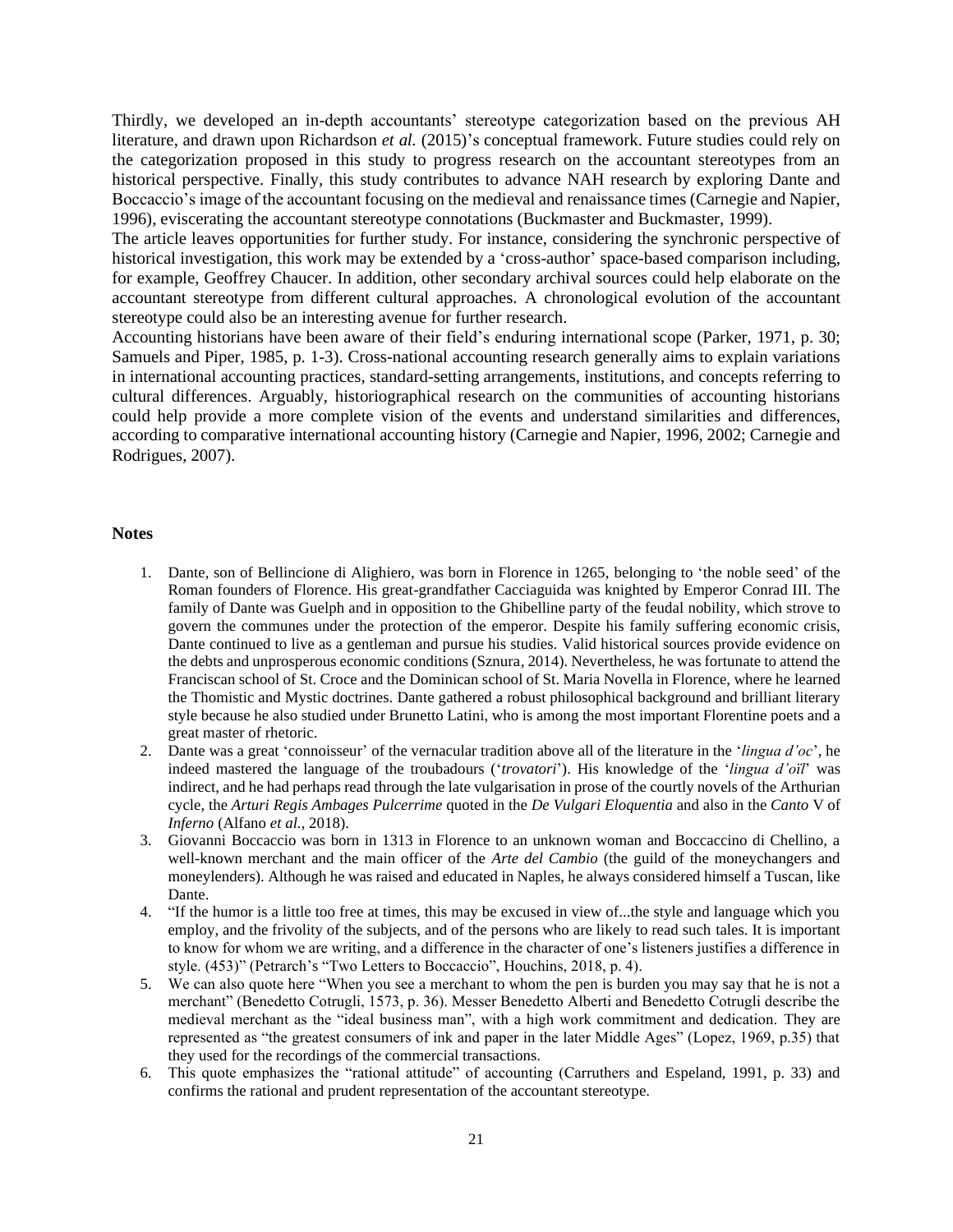Thirdly, we developed an in-depth accountants' stereotype categorization based on the previous AH literature, and drawn upon Richardson *et al.* (2015)'s conceptual framework. Future studies could rely on the categorization proposed in this study to progress research on the accountant stereotypes from an historical perspective. Finally, this study contributes to advance NAH research by exploring Dante and Boccaccio's image of the accountant focusing on the medieval and renaissance times (Carnegie and Napier, 1996), eviscerating the accountant stereotype connotations (Buckmaster and Buckmaster, 1999).

The article leaves opportunities for further study. For instance, considering the synchronic perspective of historical investigation, this work may be extended by a 'cross-author' space-based comparison including, for example, Geoffrey Chaucer. In addition, other secondary archival sources could help elaborate on the accountant stereotype from different cultural approaches. A chronological evolution of the accountant stereotype could also be an interesting avenue for further research.

Accounting historians have been aware of their field's enduring international scope (Parker, 1971, p. 30; Samuels and Piper, 1985, p. 1-3). Cross-national accounting research generally aims to explain variations in international accounting practices, standard-setting arrangements, institutions, and concepts referring to cultural differences. Arguably, historiographical research on the communities of accounting historians could help provide a more complete vision of the events and understand similarities and differences, according to comparative international accounting history (Carnegie and Napier, 1996, 2002; Carnegie and Rodrigues, 2007).

#### **Notes**

- 1. Dante, son of Bellincione di Alighiero, was born in Florence in 1265, belonging to 'the noble seed' of the Roman founders of Florence. His great-grandfather Cacciaguida was knighted by Emperor Conrad III. The family of Dante was Guelph and in opposition to the Ghibelline party of the feudal nobility, which strove to govern the communes under the protection of the emperor. Despite his family suffering economic crisis, Dante continued to live as a gentleman and pursue his studies. Valid historical sources provide evidence on the debts and unprosperous economic conditions (Sznura, 2014). Nevertheless, he was fortunate to attend the Franciscan school of St. Croce and the Dominican school of St. Maria Novella in Florence, where he learned the Thomistic and Mystic doctrines. Dante gathered a robust philosophical background and brilliant literary style because he also studied under Brunetto Latini, who is among the most important Florentine poets and a great master of rhetoric.
- 2. Dante was a great 'connoisseur' of the vernacular tradition above all of the literature in the '*lingua d'oc*', he indeed mastered the language of the troubadours ('*trovatori*'). His knowledge of the '*lingua d'oïl*' was indirect, and he had perhaps read through the late vulgarisation in prose of the courtly novels of the Arthurian cycle, the *Arturi Regis Ambages Pulcerrime* quoted in the *De Vulgari Eloquentia* and also in the *Canto* V of *Inferno* (Alfano *et al.*, 2018).
- 3. Giovanni Boccaccio was born in 1313 in Florence to an unknown woman and Boccaccino di Chellino, a well-known merchant and the main officer of the *Arte del Cambio* (the guild of the moneychangers and moneylenders). Although he was raised and educated in Naples, he always considered himself a Tuscan, like Dante.
- 4. "If the humor is a little too free at times, this may be excused in view of...the style and language which you employ, and the frivolity of the subjects, and of the persons who are likely to read such tales. It is important to know for whom we are writing, and a difference in the character of one's listeners justifies a difference in style. (453)" (Petrarch's "Two Letters to Boccaccio", Houchins, 2018, p. 4).
- 5. We can also quote here "When you see a merchant to whom the pen is burden you may say that he is not a merchant" (Benedetto Cotrugli, 1573, p. 36). Messer Benedetto Alberti and Benedetto Cotrugli describe the medieval merchant as the "ideal business man", with a high work commitment and dedication. They are represented as "the greatest consumers of ink and paper in the later Middle Ages" (Lopez, 1969, p.35) that they used for the recordings of the commercial transactions.
- 6. This quote emphasizes the "rational attitude" of accounting (Carruthers and Espeland, 1991, p. 33) and confirms the rational and prudent representation of the accountant stereotype.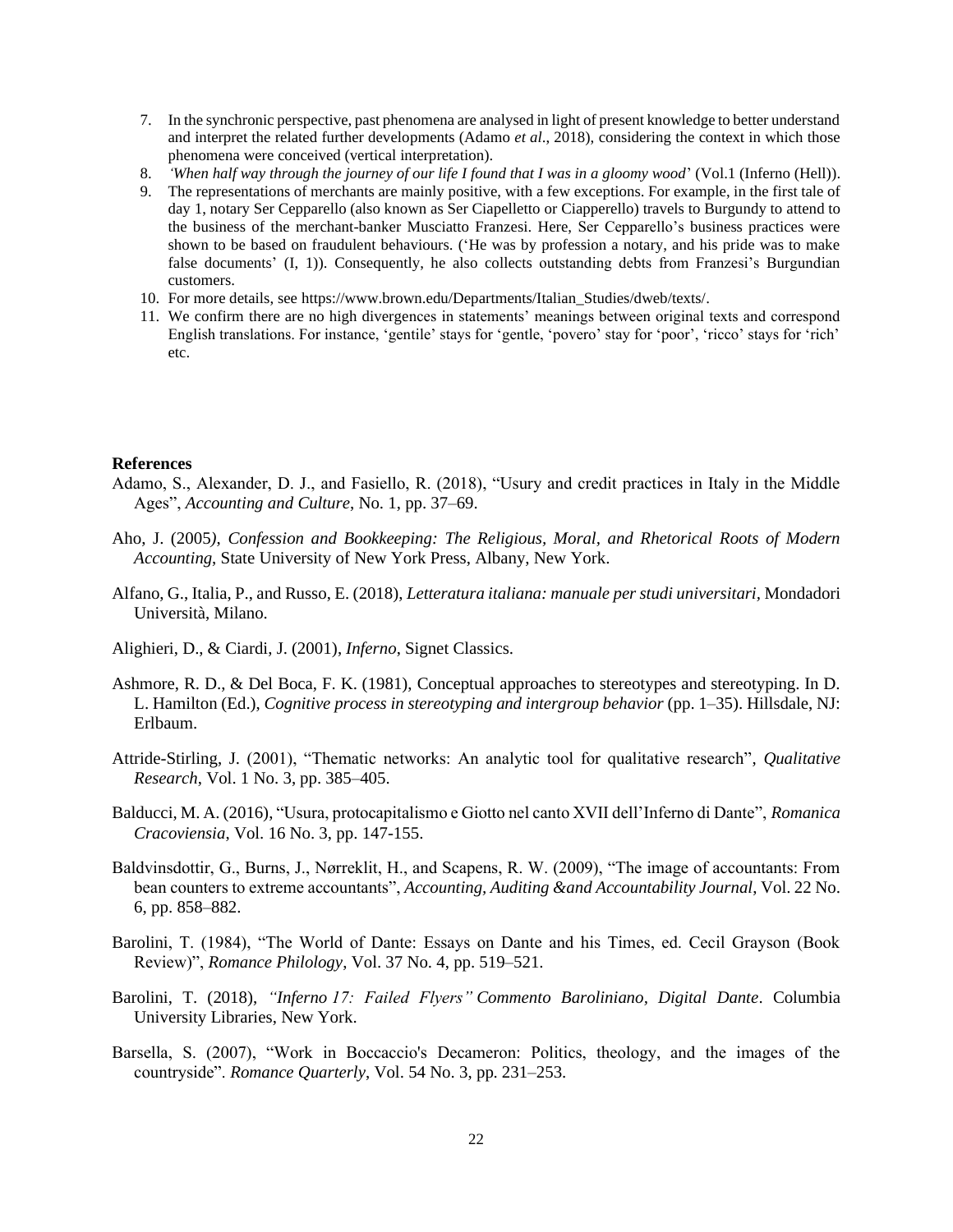- 7. In the synchronic perspective, past phenomena are analysed in light of present knowledge to better understand and interpret the related further developments (Adamo *et al*., 2018), considering the context in which those phenomena were conceived (vertical interpretation).
- 8. *'When half way through the journey of our life I found that I was in a gloomy wood*' (Vol.1 (Inferno (Hell)).
- 9. The representations of merchants are mainly positive, with a few exceptions. For example, in the first tale of day 1, notary Ser Cepparello (also known as Ser Ciapelletto or Ciapperello) travels to Burgundy to attend to the business of the merchant-banker Musciatto Franzesi. Here, Ser Cepparello's business practices were shown to be based on fraudulent behaviours. ('He was by profession a notary, and his pride was to make false documents' (I, 1)). Consequently, he also collects outstanding debts from Franzesi's Burgundian customers.
- 10. For more details, see [https://www.brown.edu/Departments/Italian\\_Studies/dweb/texts/.](https://www.brown.edu/Departments/Italian_Studies/dweb/texts/)
- 11. We confirm there are no high divergences in statements' meanings between original texts and correspond English translations. For instance, 'gentile' stays for 'gentle, 'povero' stay for 'poor', 'ricco' stays for 'rich' etc.

#### **References**

- Adamo, S., Alexander, D. J., and Fasiello, R. (2018), "Usury and credit practices in Italy in the Middle Ages", *Accounting and Culture*, No. 1, pp. 37–69.
- Aho, J. (2005*)*, *Confession and Bookkeeping: The Religious, Moral, and Rhetorical Roots of Modern Accounting*, State University of New York Press, Albany, New York.
- Alfano, G., Italia, P., and Russo, E. (2018), *Letteratura italiana: manuale per studi universitari,* Mondadori Università, Milano.
- Alighieri, D., & Ciardi, J. (2001), *Inferno*, Signet Classics.
- Ashmore, R. D., & Del Boca, F. K. (1981), Conceptual approaches to stereotypes and stereotyping. In D. L. Hamilton (Ed.), *Cognitive process in stereotyping and intergroup behavior* (pp. 1–35). Hillsdale, NJ: Erlbaum.
- Attride-Stirling, J. (2001), "Thematic networks: An analytic tool for qualitative research", *Qualitative Research*, Vol. 1 No. 3, pp. 385–405.
- Balducci, M. A. (2016), "Usura, protocapitalismo e Giotto nel canto XVII dell'Inferno di Dante", *Romanica Cracoviensia*, Vol. 16 No. 3, pp. 147-155.
- Baldvinsdottir, G., Burns, J., Nørreklit, H., and Scapens, R. W. (2009), "The image of accountants: From bean counters to extreme accountants", *Accounting, Auditing &and Accountability Journal*, Vol. 22 No. 6, pp. 858–882.
- Barolini, T. (1984), "The World of Dante: Essays on Dante and his Times, ed. Cecil Grayson (Book Review)", *Romance Philology*, Vol. 37 No. 4, pp. 519–521.
- Barolini, T. (2018), *"Inferno 17: Failed Flyers" Commento Baroliniano, Digital Dante*. Columbia University Libraries, New York.
- Barsella, S. (2007), "Work in Boccaccio's Decameron: Politics, theology, and the images of the countryside". *Romance Quarterly*, Vol. 54 No. 3, pp. 231–253.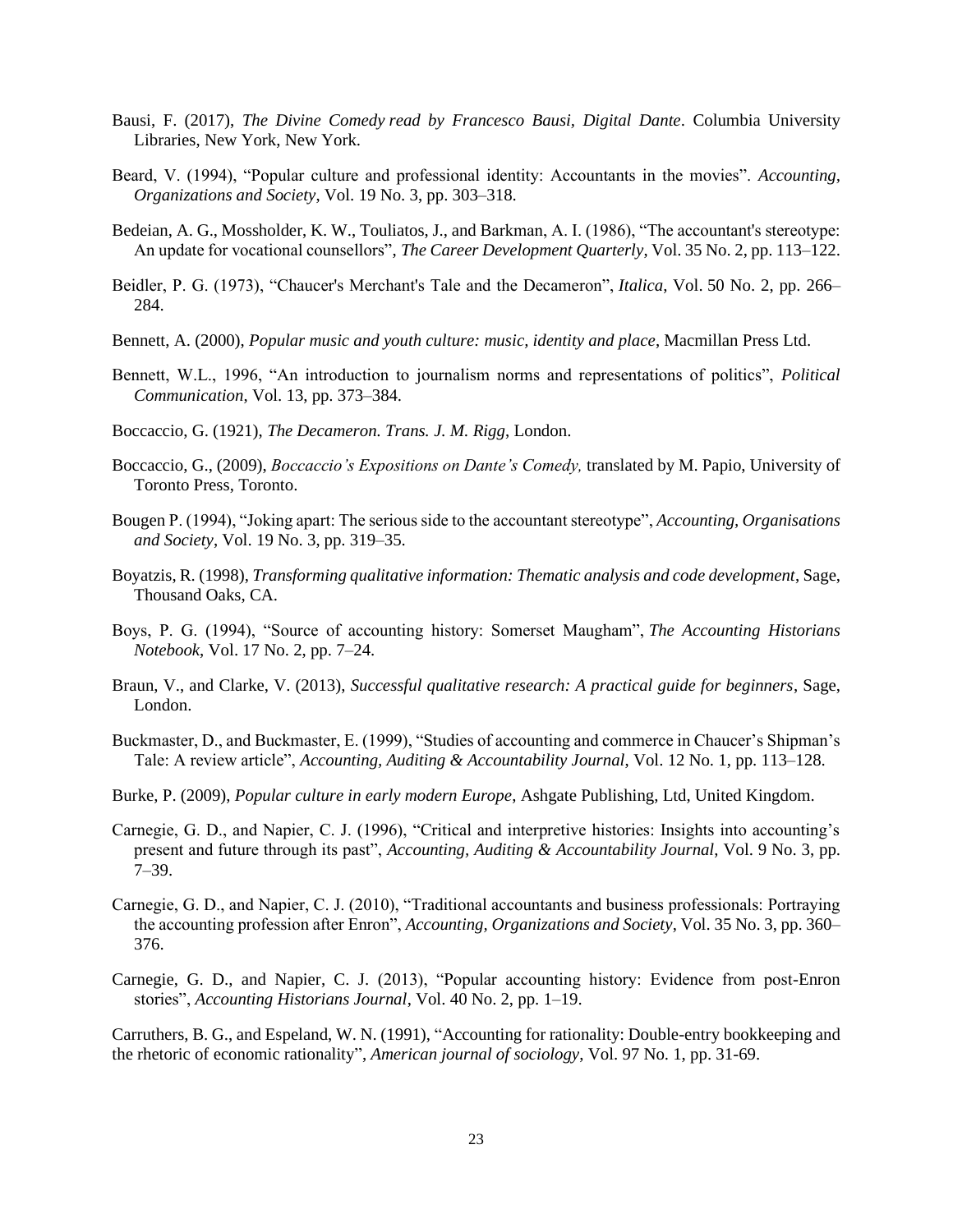- Bausi, F. (2017), *The Divine Comedy read by Francesco Bausi, Digital Dante*. Columbia University Libraries, New York, New York.
- Beard, V. (1994), "Popular culture and professional identity: Accountants in the movies". *Accounting, Organizations and Society*, Vol. 19 No. 3, pp. 303–318.
- Bedeian, A. G., Mossholder, K. W., Touliatos, J., and Barkman, A. I. (1986), "The accountant's stereotype: An update for vocational counsellors", *The Career Development Quarterly*, Vol. 35 No. 2, pp. 113–122.
- Beidler, P. G. (1973), "Chaucer's Merchant's Tale and the Decameron", *Italica*, Vol. 50 No. 2, pp. 266– 284.
- Bennett, A. (2000), *Popular music and youth culture: music, identity and place*, Macmillan Press Ltd.
- Bennett, W.L., 1996, "An introduction to journalism norms and representations of politics", *Political Communication*, Vol. 13, pp. 373–384.
- Boccaccio, G. (1921), *The Decameron. Trans. J. M. Rigg*, London.
- Boccaccio, G., (2009), *Boccaccio's Expositions on Dante's Comedy,* translated by M. Papio, University of Toronto Press, Toronto.
- Bougen P. (1994), "Joking apart: The serious side to the accountant stereotype", *Accounting, Organisations and Society*, Vol. 19 No. 3, pp. 319–35.
- Boyatzis, R. (1998), *Transforming qualitative information: Thematic analysis and code development*, Sage, Thousand Oaks, CA.
- Boys, P. G. (1994), "Source of accounting history: Somerset Maugham", *The Accounting Historians Notebook*, Vol. 17 No. 2, pp. 7–24.
- Braun, V., and Clarke, V. (2013), *Successful qualitative research: A practical guide for beginners*, Sage, London.
- Buckmaster, D., and Buckmaster, E. (1999), "Studies of accounting and commerce in Chaucer's Shipman's Tale: A review article", *Accounting, Auditing & Accountability Journal*, Vol. 12 No. 1, pp. 113–128.
- Burke, P. (2009), *Popular culture in early modern Europe*, Ashgate Publishing, Ltd, United Kingdom.
- Carnegie, G. D., and Napier, C. J. (1996), "Critical and interpretive histories: Insights into accounting's present and future through its past", *Accounting, Auditing & Accountability Journal*, Vol. 9 No. 3, pp. 7–39.
- Carnegie, G. D., and Napier, C. J. (2010), "Traditional accountants and business professionals: Portraying the accounting profession after Enron", *Accounting, Organizations and Society*, Vol. 35 No. 3, pp. 360– 376.
- Carnegie, G. D., and Napier, C. J. (2013), "Popular accounting history: Evidence from post-Enron stories", *Accounting Historians Journal*, Vol. 40 No. 2, pp. 1–19.

Carruthers, B. G., and Espeland, W. N. (1991), "Accounting for rationality: Double-entry bookkeeping and the rhetoric of economic rationality", *American journal of sociology*, Vol. 97 No. 1, pp. 31-69.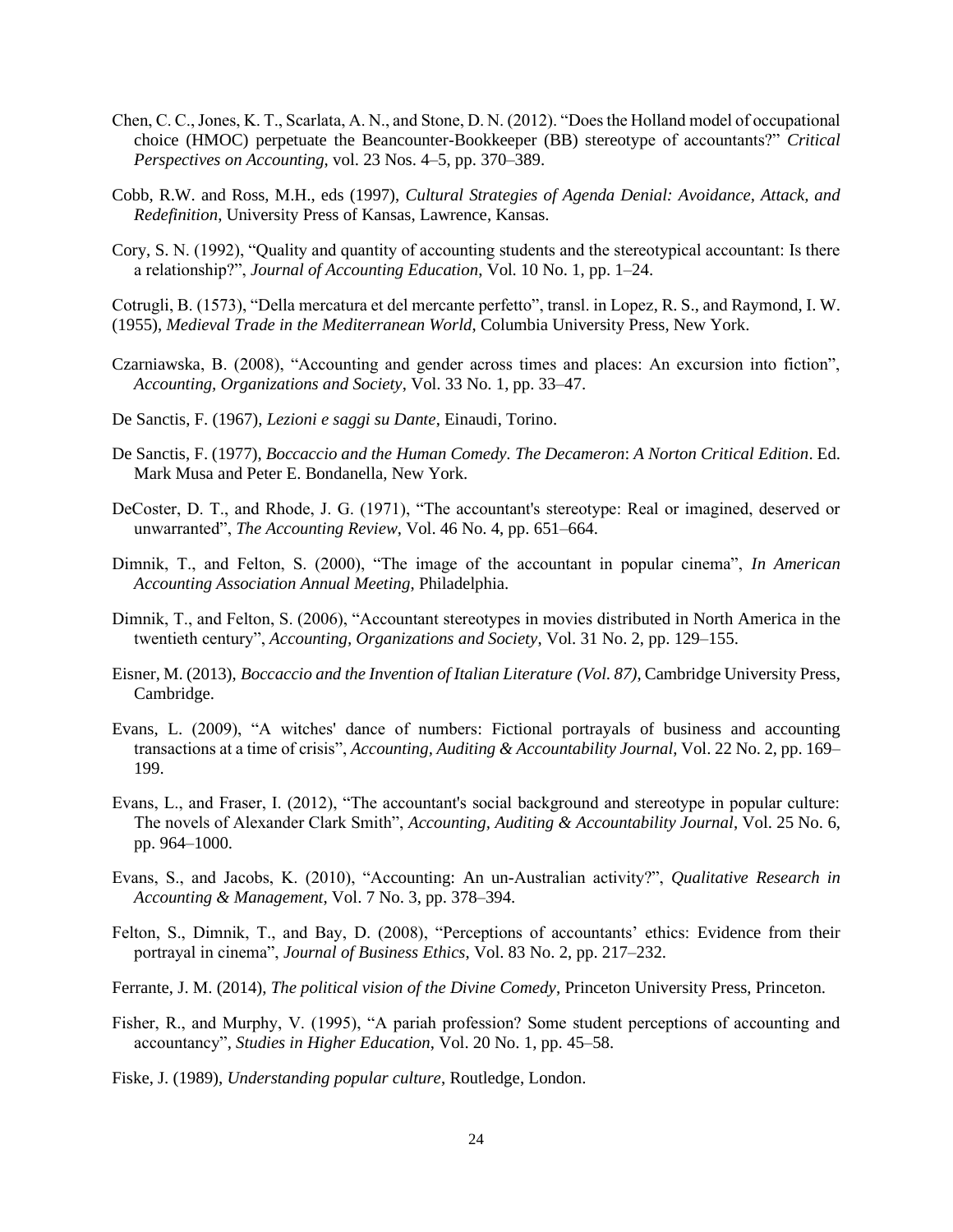- Chen, C. C., Jones, K. T., Scarlata, A. N., and Stone, D. N. (2012). "Does the Holland model of occupational choice (HMOC) perpetuate the Beancounter-Bookkeeper (BB) stereotype of accountants?" *Critical Perspectives on Accounting*, vol. 23 Nos. 4–5, pp. 370–389.
- Cobb, R.W. and Ross, M.H., eds (1997), *Cultural Strategies of Agenda Denial: Avoidance, Attack, and Redefinition*, University Press of Kansas, Lawrence, Kansas.
- Cory, S. N. (1992), "Quality and quantity of accounting students and the stereotypical accountant: Is there a relationship?", *Journal of Accounting Education*, Vol. 10 No. 1, pp. 1–24.

Cotrugli, B. (1573), "Della mercatura et del mercante perfetto", transl. in Lopez, R. S., and Raymond, I. W. (1955), *Medieval Trade in the Mediterranean World*, Columbia University Press, New York.

- Czarniawska, B. (2008), "Accounting and gender across times and places: An excursion into fiction", *Accounting, Organizations and Society*, Vol. 33 No. 1, pp. 33–47.
- De Sanctis, F. (1967), *Lezioni e saggi su Dante*, Einaudi, Torino.
- De Sanctis, F. (1977), *Boccaccio and the Human Comedy. The Decameron*: *A Norton Critical Edition*. Ed. Mark Musa and Peter E. Bondanella, New York.
- DeCoster, D. T., and Rhode, J. G. (1971), "The accountant's stereotype: Real or imagined, deserved or unwarranted", *The Accounting Review*, Vol. 46 No. 4, pp. 651–664.
- Dimnik, T., and Felton, S. (2000), "The image of the accountant in popular cinema", *In American Accounting Association Annual Meeting*, Philadelphia.
- Dimnik, T., and Felton, S. (2006), "Accountant stereotypes in movies distributed in North America in the twentieth century", *Accounting, Organizations and Society*, Vol. 31 No. 2, pp. 129–155.
- Eisner, M. (2013), *Boccaccio and the Invention of Italian Literature (Vol. 87)*, Cambridge University Press, Cambridge.
- Evans, L. (2009), "A witches' dance of numbers: Fictional portrayals of business and accounting transactions at a time of crisis", *Accounting, Auditing & Accountability Journal*, Vol. 22 No. 2, pp. 169– 199.
- Evans, L., and Fraser, I. (2012), "The accountant's social background and stereotype in popular culture: The novels of Alexander Clark Smith", *Accounting, Auditing & Accountability Journal*, Vol. 25 No. 6, pp. 964–1000.
- Evans, S., and Jacobs, K. (2010), "Accounting: An un-Australian activity?", *Qualitative Research in Accounting & Management*, Vol. 7 No. 3, pp. 378–394.
- Felton, S., Dimnik, T., and Bay, D. (2008), "Perceptions of accountants' ethics: Evidence from their portrayal in cinema", *Journal of Business Ethics*, Vol. 83 No. 2, pp. 217–232.
- Ferrante, J. M. (2014), *The political vision of the Divine Comedy*, Princeton University Press, Princeton.
- Fisher, R., and Murphy, V. (1995), "A pariah profession? Some student perceptions of accounting and accountancy", *Studies in Higher Education*, Vol. 20 No. 1, pp. 45–58.
- Fiske, J. (1989), *Understanding popular culture*, Routledge, London.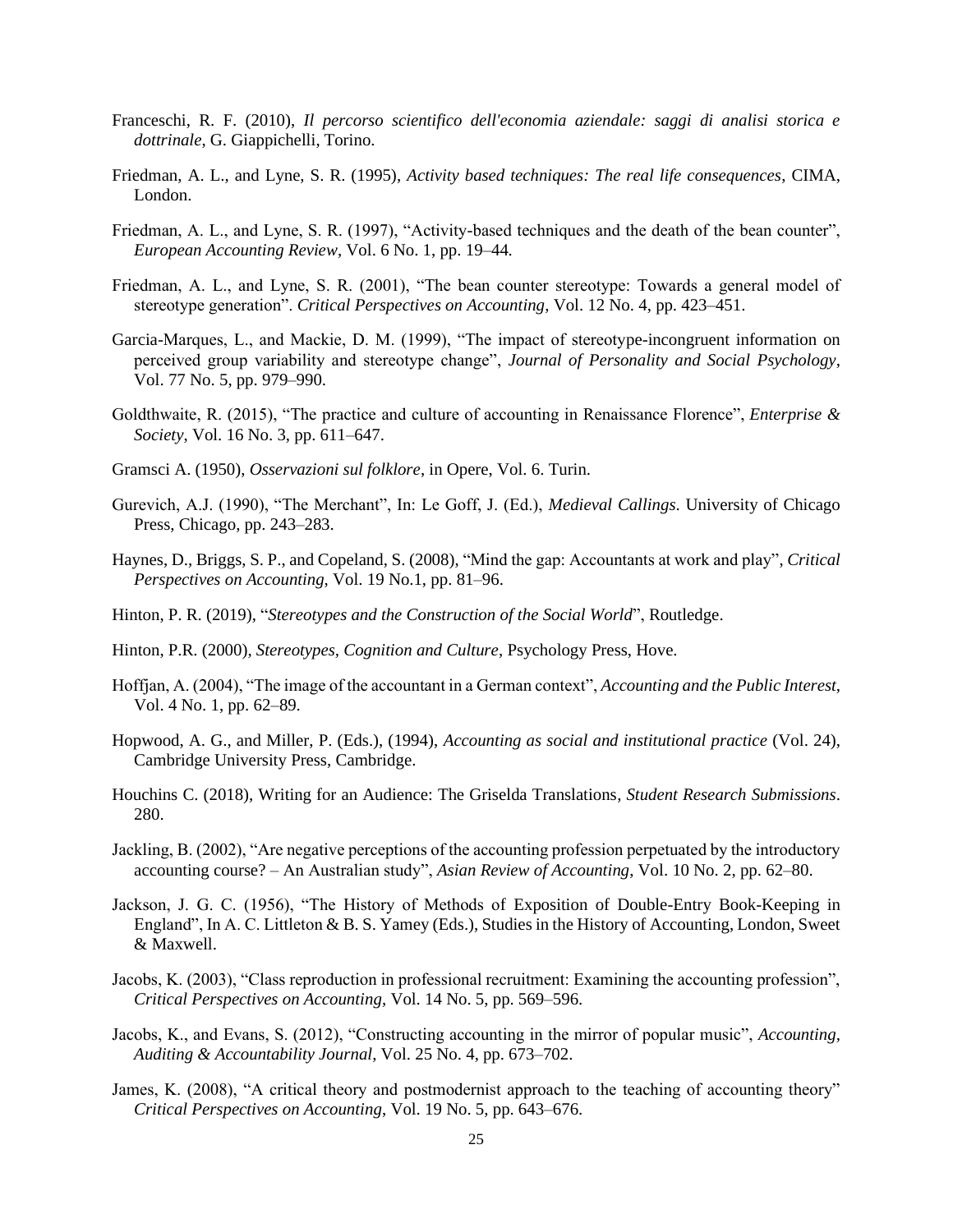- Franceschi, R. F. (2010), *Il percorso scientifico dell'economia aziendale: saggi di analisi storica e dottrinale*, G. Giappichelli, Torino.
- Friedman, A. L., and Lyne, S. R. (1995), *Activity based techniques: The real life consequences*, CIMA, London.
- Friedman, A. L., and Lyne, S. R. (1997), "Activity-based techniques and the death of the bean counter", *European Accounting Review*, Vol. 6 No. 1, pp. 19–44.
- Friedman, A. L., and Lyne, S. R. (2001), "The bean counter stereotype: Towards a general model of stereotype generation". *Critical Perspectives on Accounting*, Vol. 12 No. 4, pp. 423–451.
- Garcia-Marques, L., and Mackie, D. M. (1999), "The impact of stereotype-incongruent information on perceived group variability and stereotype change", *Journal of Personality and Social Psychology*, Vol. 77 No. 5, pp. 979–990.
- Goldthwaite, R. (2015), "The practice and culture of accounting in Renaissance Florence", *Enterprise & Society*, Vol. 16 No. 3, pp. 611–647.
- Gramsci A. (1950), *Osservazioni sul folklore*, in Opere, Vol. 6. Turin.
- Gurevich, A.J. (1990), "The Merchant", In: Le Goff, J. (Ed.), *Medieval Callings*. University of Chicago Press, Chicago, pp. 243–283.
- Haynes, D., Briggs, S. P., and Copeland, S. (2008), "Mind the gap: Accountants at work and play", *Critical Perspectives on Accounting*, Vol. 19 No.1, pp. 81–96.
- Hinton, P. R. (2019), "*Stereotypes and the Construction of the Social World*", Routledge.
- Hinton, P.R. (2000), *Stereotypes, Cognition and Culture*, Psychology Press, Hove.
- Hoffjan, A. (2004), "The image of the accountant in a German context", *Accounting and the Public Interest*, Vol. 4 No. 1, pp. 62–89.
- Hopwood, A. G., and Miller, P. (Eds.), (1994), *Accounting as social and institutional practice* (Vol. 24), Cambridge University Press, Cambridge.
- Houchins C. (2018), Writing for an Audience: The Griselda Translations, *Student Research Submissions*. 280.
- Jackling, B. (2002), "Are negative perceptions of the accounting profession perpetuated by the introductory accounting course? – An Australian study", *Asian Review of Accounting*, Vol. 10 No. 2, pp. 62–80.
- Jackson, J. G. C. (1956), "The History of Methods of Exposition of Double-Entry Book-Keeping in England", In A. C. Littleton & B. S. Yamey (Eds.), Studies in the History of Accounting, London, Sweet & Maxwell.
- Jacobs, K. (2003), "Class reproduction in professional recruitment: Examining the accounting profession", *Critical Perspectives on Accounting*, Vol. 14 No. 5, pp. 569–596.
- Jacobs, K., and Evans, S. (2012), "Constructing accounting in the mirror of popular music", *Accounting, Auditing & Accountability Journal*, Vol. 25 No. 4, pp. 673–702.
- James, K. (2008), "A critical theory and postmodernist approach to the teaching of accounting theory" *Critical Perspectives on Accounting*, Vol. 19 No. 5, pp. 643–676.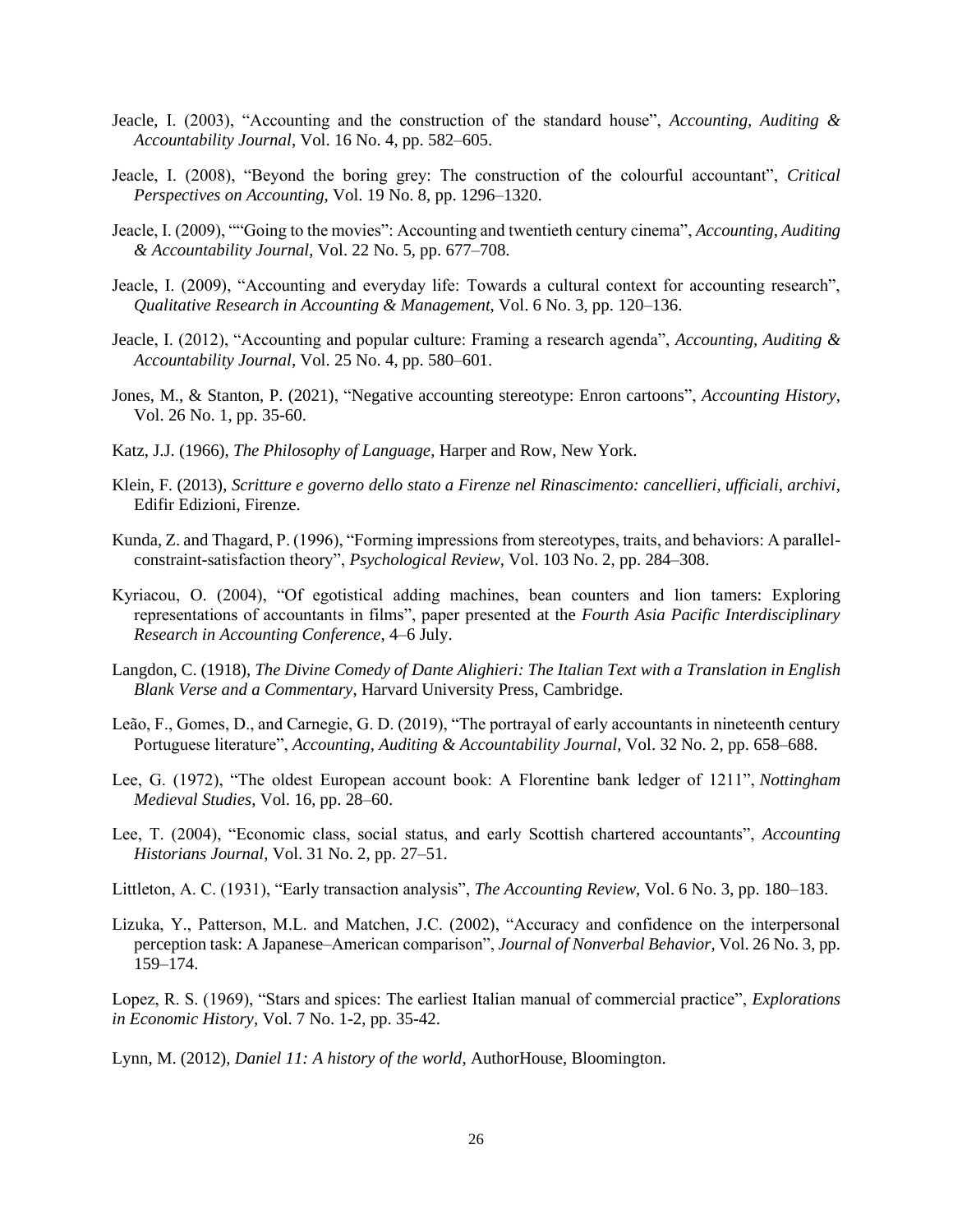- Jeacle, I. (2003), "Accounting and the construction of the standard house", *Accounting, Auditing & Accountability Journal*, Vol. 16 No. 4, pp. 582–605.
- Jeacle, I. (2008), "Beyond the boring grey: The construction of the colourful accountant", *Critical Perspectives on Accounting*, Vol. 19 No. 8, pp. 1296–1320.
- Jeacle, I. (2009), ""Going to the movies": Accounting and twentieth century cinema", *Accounting, Auditing & Accountability Journal*, Vol. 22 No. 5, pp. 677–708.
- Jeacle, I. (2009), "Accounting and everyday life: Towards a cultural context for accounting research", *Qualitative Research in Accounting & Management*, Vol. 6 No. 3, pp. 120–136.
- Jeacle, I. (2012), "Accounting and popular culture: Framing a research agenda", *Accounting, Auditing & Accountability Journal*, Vol. 25 No. 4, pp. 580–601.
- Jones, M., & Stanton, P. (2021), "Negative accounting stereotype: Enron cartoons", *Accounting History*, Vol. 26 No. 1, pp. 35-60.
- Katz, J.J. (1966), *The Philosophy of Language*, Harper and Row, New York.
- Klein, F. (2013), *Scritture e governo dello stato a Firenze nel Rinascimento: cancellieri, ufficiali, archivi*, Edifir Edizioni, Firenze.
- Kunda, Z. and Thagard, P. (1996), "Forming impressions from stereotypes, traits, and behaviors: A parallelconstraint-satisfaction theory", *Psychological Review*, Vol. 103 No. 2, pp. 284–308.
- Kyriacou, O. (2004), "Of egotistical adding machines, bean counters and lion tamers: Exploring representations of accountants in films", paper presented at the *Fourth Asia Pacific Interdisciplinary Research in Accounting Conference*, 4–6 July.
- Langdon, C. (1918), *The Divine Comedy of Dante Alighieri: The Italian Text with a Translation in English Blank Verse and a Commentary*, Harvard University Press, Cambridge.
- Leão, F., Gomes, D., and Carnegie, G. D. (2019), "The portrayal of early accountants in nineteenth century Portuguese literature", *Accounting, Auditing & Accountability Journal*, Vol. 32 No. 2, pp. 658–688.
- Lee, G. (1972), "The oldest European account book: A Florentine bank ledger of 1211", *Nottingham Medieval Studies*, Vol. 16, pp. 28–60.
- Lee, T. (2004), "Economic class, social status, and early Scottish chartered accountants", *Accounting Historians Journal*, Vol. 31 No. 2, pp. 27–51.
- Littleton, A. C. (1931), "Early transaction analysis", *The Accounting Review*, Vol. 6 No. 3, pp. 180–183.
- Lizuka, Y., Patterson, M.L. and Matchen, J.C. (2002), "Accuracy and confidence on the interpersonal perception task: A Japanese–American comparison", *Journal of Nonverbal Behavior*, Vol. 26 No. 3, pp. 159–174.

Lopez, R. S. (1969), "Stars and spices: The earliest Italian manual of commercial practice", *Explorations in Economic History*, Vol. 7 No. 1-2, pp. 35-42.

Lynn, M. (2012), *Daniel 11: A history of the world*, AuthorHouse, Bloomington.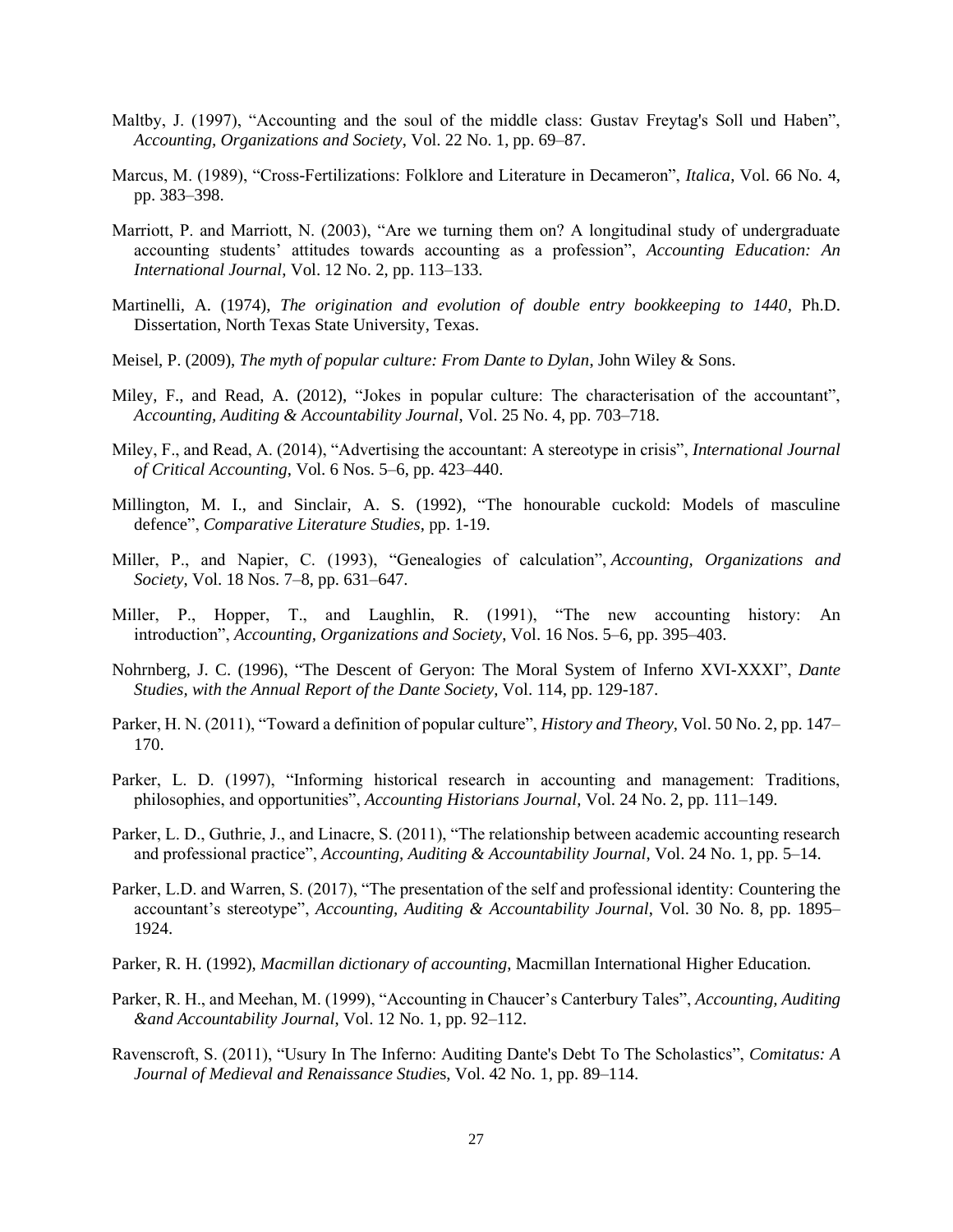- Maltby, J. (1997), "Accounting and the soul of the middle class: Gustav Freytag's Soll und Haben", *Accounting, Organizations and Society*, Vol. 22 No. 1, pp. 69–87.
- Marcus, M. (1989), "Cross-Fertilizations: Folklore and Literature in Decameron", *Italica*, Vol. 66 No. 4, pp. 383–398.
- Marriott, P. and Marriott, N. (2003), "Are we turning them on? A longitudinal study of undergraduate accounting students' attitudes towards accounting as a profession", *Accounting Education: An International Journal*, Vol. 12 No. 2, pp. 113–133.
- Martinelli, A. (1974), *The origination and evolution of double entry bookkeeping to 1440*, Ph.D. Dissertation, North Texas State University, Texas.
- Meisel, P. (2009), *The myth of popular culture: From Dante to Dylan*, John Wiley & Sons.
- Miley, F., and Read, A. (2012), "Jokes in popular culture: The characterisation of the accountant", *Accounting, Auditing & Accountability Journal*, Vol. 25 No. 4, pp. 703–718.
- Miley, F., and Read, A. (2014), "Advertising the accountant: A stereotype in crisis", *International Journal of Critical Accounting*, Vol. 6 Nos. 5–6, pp. 423–440.
- Millington, M. I., and Sinclair, A. S. (1992), "The honourable cuckold: Models of masculine defence", *Comparative Literature Studies*, pp. 1-19.
- Miller, P., and Napier, C. (1993), "Genealogies of calculation", *Accounting, Organizations and Society*, Vol. 18 Nos. 7–8, pp. 631–647.
- Miller, P., Hopper, T., and Laughlin, R. (1991), "The new accounting history: An introduction", *Accounting, Organizations and Society*, Vol. 16 Nos. 5–6, pp. 395–403.
- Nohrnberg, J. C. (1996), "The Descent of Geryon: The Moral System of Inferno XVI-XXXI", *Dante Studies, with the Annual Report of the Dante Society*, Vol. 114, pp. 129-187.
- Parker, H. N. (2011), "Toward a definition of popular culture", *History and Theory*, Vol. 50 No. 2, pp. 147– 170.
- Parker, L. D. (1997), "Informing historical research in accounting and management: Traditions, philosophies, and opportunities", *Accounting Historians Journal*, Vol. 24 No. 2, pp. 111–149.
- Parker, L. D., Guthrie, J., and Linacre, S. (2011), "The relationship between academic accounting research and professional practice", *Accounting, Auditing & Accountability Journal*, Vol. 24 No. 1, pp. 5–14.
- Parker, L.D. and Warren, S. (2017), "The presentation of the self and professional identity: Countering the accountant's stereotype", *Accounting, Auditing & Accountability Journal*, Vol. 30 No. 8, pp. 1895– 1924.
- Parker, R. H. (1992), *Macmillan dictionary of accounting*, Macmillan International Higher Education.
- Parker, R. H., and Meehan, M. (1999), "Accounting in Chaucer's Canterbury Tales", *Accounting, Auditing &and Accountability Journal*, Vol. 12 No. 1, pp. 92–112.
- Ravenscroft, S. (2011), "Usury In The Inferno: Auditing Dante's Debt To The Scholastics", *Comitatus: A Journal of Medieval and Renaissance Studie*s, Vol. 42 No. 1, pp. 89–114.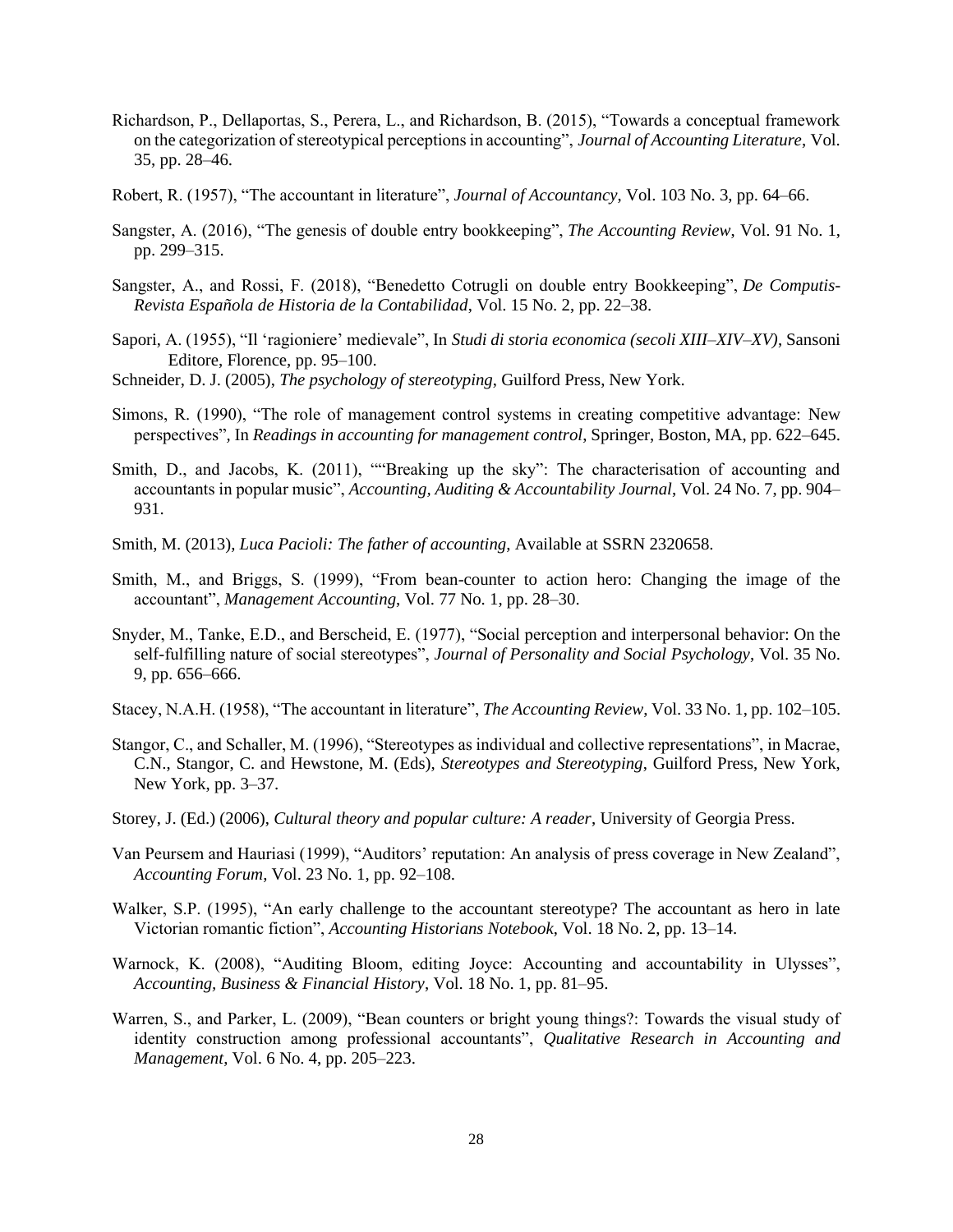- Richardson, P., Dellaportas, S., Perera, L., and Richardson, B. (2015), "Towards a conceptual framework on the categorization of stereotypical perceptions in accounting", *Journal of Accounting Literature*, Vol. 35, pp. 28–46.
- Robert, R. (1957), "The accountant in literature", *Journal of Accountancy*, Vol. 103 No. 3, pp. 64–66.
- Sangster, A. (2016), "The genesis of double entry bookkeeping", *The Accounting Review*, Vol. 91 No. 1, pp. 299–315.
- Sangster, A., and Rossi, F. (2018), "Benedetto Cotrugli on double entry Bookkeeping", *De Computis-Revista Española de Historia de la Contabilidad*, Vol. 15 No. 2, pp. 22–38.
- Sapori, A. (1955), "Il 'ragioniere' medievale", In *Studi di storia economica (secoli XIII–XIV–XV)*, Sansoni Editore, Florence, pp. 95–100.
- Schneider, D. J. (2005), *The psychology of stereotyping*, Guilford Press, New York.
- Simons, R. (1990), "The role of management control systems in creating competitive advantage: New perspectives"*,* In *Readings in accounting for management control*, Springer, Boston, MA, pp. 622–645.
- Smith, D., and Jacobs, K. (2011), ""Breaking up the sky": The characterisation of accounting and accountants in popular music", *Accounting, Auditing & Accountability Journal*, Vol. 24 No. 7, pp. 904– 931.
- Smith, M. (2013), *Luca Pacioli: The father of accounting*, Available at SSRN 2320658.
- Smith, M., and Briggs, S. (1999), "From bean-counter to action hero: Changing the image of the accountant", *Management Accounting*, Vol. 77 No. 1, pp. 28–30.
- Snyder, M., Tanke, E.D., and Berscheid, E. (1977), "Social perception and interpersonal behavior: On the self-fulfilling nature of social stereotypes", *Journal of Personality and Social Psychology*, Vol. 35 No. 9, pp. 656–666.
- Stacey, N.A.H. (1958), "The accountant in literature", *The Accounting Review*, Vol. 33 No. 1, pp. 102–105.
- Stangor, C., and Schaller, M. (1996), "Stereotypes as individual and collective representations", in Macrae, C.N., Stangor, C. and Hewstone, M. (Eds), *Stereotypes and Stereotyping*, Guilford Press, New York, New York, pp. 3–37.
- Storey, J. (Ed.) (2006), *Cultural theory and popular culture: A reader*, University of Georgia Press.
- Van Peursem and Hauriasi (1999), "Auditors' reputation: An analysis of press coverage in New Zealand", *Accounting Forum*, Vol. 23 No. 1, pp. 92–108.
- Walker, S.P. (1995), "An early challenge to the accountant stereotype? The accountant as hero in late Victorian romantic fiction", *Accounting Historians Notebook*, Vol. 18 No. 2, pp. 13–14.
- Warnock, K. (2008), "Auditing Bloom, editing Joyce: Accounting and accountability in Ulysses", *Accounting, Business & Financial History*, Vol. 18 No. 1, pp. 81–95.
- Warren, S., and Parker, L. (2009), "Bean counters or bright young things?: Towards the visual study of identity construction among professional accountants", *Qualitative Research in Accounting and Management*, Vol. 6 No. 4, pp. 205–223.